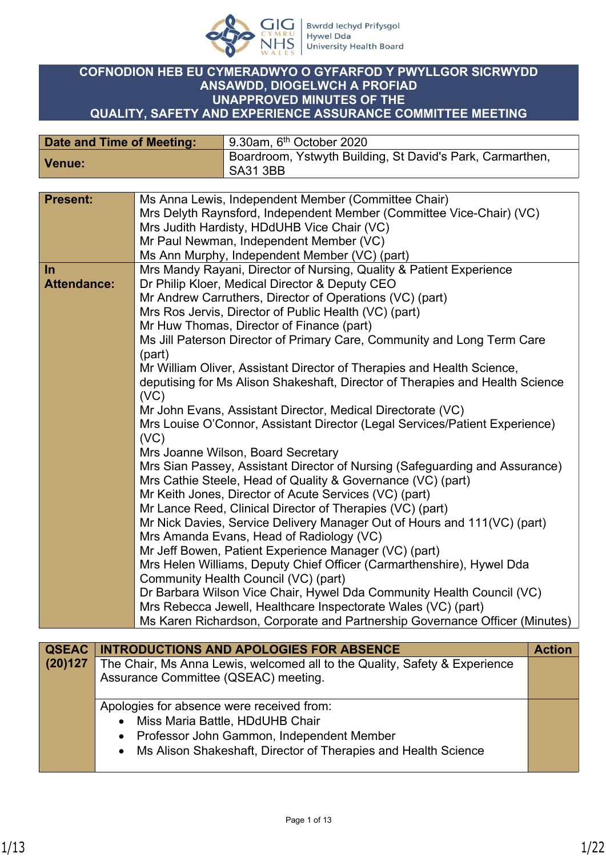

### **COFNODION HEB EU CYMERADWYO O GYFARFOD Y PWYLLGOR SICRWYDD ANSAWDD, DIOGELWCH A PROFIAD UNAPPROVED MINUTES OF THE QUALITY, SAFETY AND EXPERIENCE ASSURANCE COMMITTEE MEETING**

| Date and Time of Meeting: | 9.30am, 6 <sup>th</sup> October 2020                                    |
|---------------------------|-------------------------------------------------------------------------|
| Venue:                    | Boardroom, Ystwyth Building, St David's Park, Carmarthen,<br>  SA31 3BB |

| <b>Present:</b>    | Ms Anna Lewis, Independent Member (Committee Chair)                                                                  |
|--------------------|----------------------------------------------------------------------------------------------------------------------|
|                    | Mrs Delyth Raynsford, Independent Member (Committee Vice-Chair) (VC)                                                 |
|                    | Mrs Judith Hardisty, HDdUHB Vice Chair (VC)                                                                          |
|                    | Mr Paul Newman, Independent Member (VC)                                                                              |
|                    | Ms Ann Murphy, Independent Member (VC) (part)                                                                        |
| In                 | Mrs Mandy Rayani, Director of Nursing, Quality & Patient Experience                                                  |
| <b>Attendance:</b> | Dr Philip Kloer, Medical Director & Deputy CEO                                                                       |
|                    | Mr Andrew Carruthers, Director of Operations (VC) (part)                                                             |
|                    | Mrs Ros Jervis, Director of Public Health (VC) (part)                                                                |
|                    | Mr Huw Thomas, Director of Finance (part)                                                                            |
|                    | Ms Jill Paterson Director of Primary Care, Community and Long Term Care                                              |
|                    | (part)                                                                                                               |
|                    | Mr William Oliver, Assistant Director of Therapies and Health Science,                                               |
|                    | deputising for Ms Alison Shakeshaft, Director of Therapies and Health Science                                        |
|                    | (VC)                                                                                                                 |
|                    | Mr John Evans, Assistant Director, Medical Directorate (VC)                                                          |
|                    | Mrs Louise O'Connor, Assistant Director (Legal Services/Patient Experience)                                          |
|                    | (VC)                                                                                                                 |
|                    | Mrs Joanne Wilson, Board Secretary                                                                                   |
|                    | Mrs Sian Passey, Assistant Director of Nursing (Safeguarding and Assurance)                                          |
|                    | Mrs Cathie Steele, Head of Quality & Governance (VC) (part)                                                          |
|                    | Mr Keith Jones, Director of Acute Services (VC) (part)                                                               |
|                    | Mr Lance Reed, Clinical Director of Therapies (VC) (part)                                                            |
|                    |                                                                                                                      |
|                    | Mr Nick Davies, Service Delivery Manager Out of Hours and 111(VC) (part)<br>Mrs Amanda Evans, Head of Radiology (VC) |
|                    |                                                                                                                      |
|                    | Mr Jeff Bowen, Patient Experience Manager (VC) (part)                                                                |
|                    | Mrs Helen Williams, Deputy Chief Officer (Carmarthenshire), Hywel Dda                                                |
|                    | Community Health Council (VC) (part)                                                                                 |
|                    | Dr Barbara Wilson Vice Chair, Hywel Dda Community Health Council (VC)                                                |
|                    | Mrs Rebecca Jewell, Healthcare Inspectorate Wales (VC) (part)                                                        |
|                    | Ms Karen Richardson, Corporate and Partnership Governance Officer (Minutes)                                          |

|         | <b>QSEAC   INTRODUCTIONS AND APOLOGIES FOR ABSENCE</b>                     | <b>Action</b> |
|---------|----------------------------------------------------------------------------|---------------|
| (20)127 | The Chair, Ms Anna Lewis, welcomed all to the Quality, Safety & Experience |               |
|         | Assurance Committee (QSEAC) meeting.                                       |               |
|         |                                                                            |               |
|         | Apologies for absence were received from:                                  |               |
|         | Miss Maria Battle, HDdUHB Chair                                            |               |
|         | • Professor John Gammon, Independent Member                                |               |
|         | • Ms Alison Shakeshaft, Director of Therapies and Health Science           |               |
|         |                                                                            |               |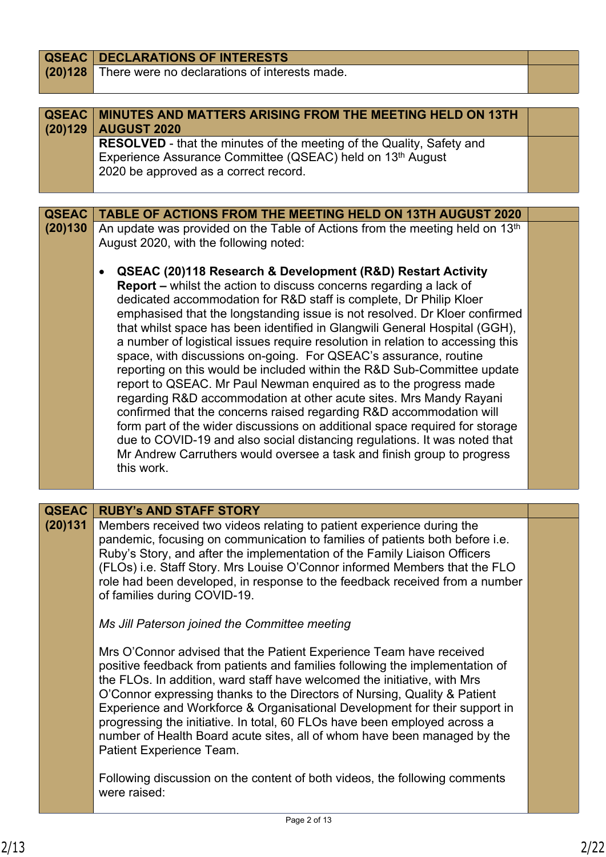| <b>QSEAC</b>            | <b>DECLARATIONS OF INTERESTS</b>                                                                                                                   |  |
|-------------------------|----------------------------------------------------------------------------------------------------------------------------------------------------|--|
| (20)128                 | There were no declarations of interests made.                                                                                                      |  |
|                         |                                                                                                                                                    |  |
|                         |                                                                                                                                                    |  |
| <b>QSEAC</b><br>(20)129 | <b>MINUTES AND MATTERS ARISING FROM THE MEETING HELD ON 13TH</b><br><b>AUGUST 2020</b>                                                             |  |
|                         | <b>RESOLVED</b> - that the minutes of the meeting of the Quality, Safety and                                                                       |  |
|                         | Experience Assurance Committee (QSEAC) held on 13 <sup>th</sup> August                                                                             |  |
|                         | 2020 be approved as a correct record.                                                                                                              |  |
|                         |                                                                                                                                                    |  |
| <b>QSEAC</b>            |                                                                                                                                                    |  |
| (20)130                 | <b>TABLE OF ACTIONS FROM THE MEETING HELD ON 13TH AUGUST 2020</b>                                                                                  |  |
|                         | An update was provided on the Table of Actions from the meeting held on 13th<br>August 2020, with the following noted:                             |  |
|                         | QSEAC (20)118 Research & Development (R&D) Restart Activity                                                                                        |  |
|                         | <b>Report - whilst the action to discuss concerns regarding a lack of</b>                                                                          |  |
|                         | dedicated accommodation for R&D staff is complete, Dr Philip Kloer                                                                                 |  |
|                         | emphasised that the longstanding issue is not resolved. Dr Kloer confirmed                                                                         |  |
|                         | that whilst space has been identified in Glangwili General Hospital (GGH),                                                                         |  |
|                         | a number of logistical issues require resolution in relation to accessing this<br>space, with discussions on-going. For QSEAC's assurance, routine |  |
|                         | reporting on this would be included within the R&D Sub-Committee update                                                                            |  |
|                         | report to QSEAC. Mr Paul Newman enquired as to the progress made                                                                                   |  |
|                         | regarding R&D accommodation at other acute sites. Mrs Mandy Rayani                                                                                 |  |
|                         | confirmed that the concerns raised regarding R&D accommodation will                                                                                |  |
|                         | form part of the wider discussions on additional space required for storage                                                                        |  |
|                         | due to COVID-19 and also social distancing regulations. It was noted that                                                                          |  |
|                         | Mr Andrew Carruthers would oversee a task and finish group to progress<br>this work.                                                               |  |
|                         |                                                                                                                                                    |  |
|                         |                                                                                                                                                    |  |
| QSEAC                   | <b>RUBY's AND STAFF STORY</b>                                                                                                                      |  |
| (20)131                 | Members received two videos relating to patient experience during the                                                                              |  |
|                         | pandemic, focusing on communication to families of patients both before i.e.                                                                       |  |
|                         | Ruby's Story, and after the implementation of the Family Liaison Officers                                                                          |  |
|                         | (FLOs) i.e. Staff Story. Mrs Louise O'Connor informed Members that the FLO                                                                         |  |
|                         | role had been developed, in response to the feedback received from a number                                                                        |  |
|                         | of families during COVID-19.                                                                                                                       |  |
|                         | Ms Jill Paterson joined the Committee meeting                                                                                                      |  |
|                         | Mrs O'Connor advised that the Patient Experience Team have received                                                                                |  |
|                         | positive feedback from patients and families following the implementation of                                                                       |  |
|                         | the FLOs. In addition, ward staff have welcomed the initiative, with Mrs                                                                           |  |
|                         | O'Connor expressing thanks to the Directors of Nursing, Quality & Patient                                                                          |  |
|                         | Experience and Workforce & Organisational Development for their support in                                                                         |  |
|                         | progressing the initiative. In total, 60 FLOs have been employed across a                                                                          |  |
|                         | number of Health Board acute sites, all of whom have been managed by the                                                                           |  |
|                         | Patient Experience Team.                                                                                                                           |  |
|                         | Following discussion on the content of both videos, the following comments                                                                         |  |
|                         | were raised:                                                                                                                                       |  |
|                         |                                                                                                                                                    |  |
|                         | Page 2 of 13                                                                                                                                       |  |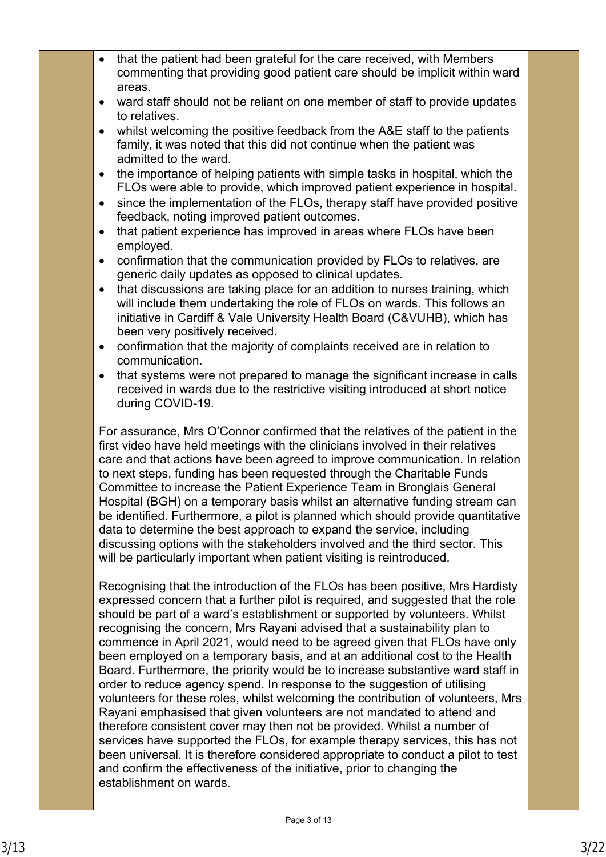- that the patient had been grateful for the care received, with Members commenting that providing good patient care should be implicit within ward areas.
- ward staff should not be reliant on one member of staff to provide updates to relatives.
- whilst welcoming the positive feedback from the A&E staff to the patients family, it was noted that this did not continue when the patient was admitted to the ward.
- the importance of helping patients with simple tasks in hospital, which the FLOs were able to provide, which improved patient experience in hospital.
- since the implementation of the FLOs, therapy staff have provided positive feedback, noting improved patient outcomes.
- that patient experience has improved in areas where FLOs have been employed.
- confirmation that the communication provided by FLOs to relatives, are generic daily updates as opposed to clinical updates.
- that discussions are taking place for an addition to nurses training, which will include them undertaking the role of FLOs on wards. This follows an initiative in Cardiff & Vale University Health Board (C&VUHB), which has been very positively received.
- confirmation that the majority of complaints received are in relation to communication.
- that systems were not prepared to manage the significant increase in calls received in wards due to the restrictive visiting introduced at short notice during COVID-19.

For assurance, Mrs O'Connor confirmed that the relatives of the patient in the first video have held meetings with the clinicians involved in their relatives care and that actions have been agreed to improve communication. In relation to next steps, funding has been requested through the Charitable Funds Committee to increase the Patient Experience Team in Bronglais General Hospital (BGH) on a temporary basis whilst an alternative funding stream can be identified. Furthermore, a pilot is planned which should provide quantitative data to determine the best approach to expand the service, including discussing options with the stakeholders involved and the third sector. This will be particularly important when patient visiting is reintroduced.

Recognising that the introduction of the FLOs has been positive, Mrs Hardisty expressed concern that a further pilot is required, and suggested that the role should be part of a ward's establishment or supported by volunteers. Whilst recognising the concern, Mrs Rayani advised that a sustainability plan to commence in April 2021, would need to be agreed given that FLOs have only been employed on a temporary basis, and at an additional cost to the Health Board. Furthermore, the priority would be to increase substantive ward staff in order to reduce agency spend. In response to the suggestion of utilising volunteers for these roles, whilst welcoming the contribution of volunteers, Mrs Rayani emphasised that given volunteers are not mandated to attend and therefore consistent cover may then not be provided. Whilst a number of services have supported the FLOs, for example therapy services, this has not been universal. It is therefore considered appropriate to conduct a pilot to test and confirm the effectiveness of the initiative, prior to changing the establishment on wards.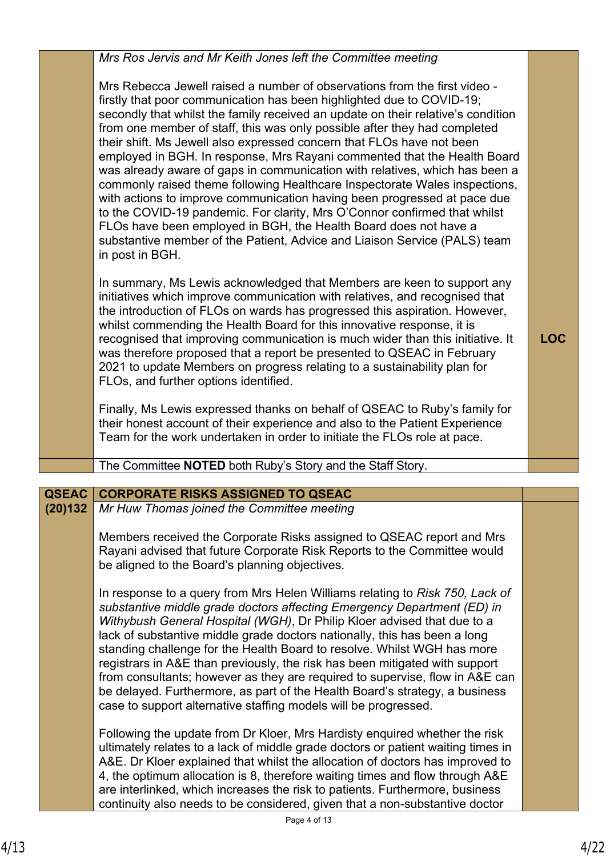|              | Mrs Ros Jervis and Mr Keith Jones left the Committee meeting                                                                                                                                                                                                                                                                                                                                                                                                                                                                                                                                                                                                                                                                                                                                                                                                                                                                                                       |            |
|--------------|--------------------------------------------------------------------------------------------------------------------------------------------------------------------------------------------------------------------------------------------------------------------------------------------------------------------------------------------------------------------------------------------------------------------------------------------------------------------------------------------------------------------------------------------------------------------------------------------------------------------------------------------------------------------------------------------------------------------------------------------------------------------------------------------------------------------------------------------------------------------------------------------------------------------------------------------------------------------|------------|
|              | Mrs Rebecca Jewell raised a number of observations from the first video -<br>firstly that poor communication has been highlighted due to COVID-19;<br>secondly that whilst the family received an update on their relative's condition<br>from one member of staff, this was only possible after they had completed<br>their shift. Ms Jewell also expressed concern that FLOs have not been<br>employed in BGH. In response, Mrs Rayani commented that the Health Board<br>was already aware of gaps in communication with relatives, which has been a<br>commonly raised theme following Healthcare Inspectorate Wales inspections,<br>with actions to improve communication having been progressed at pace due<br>to the COVID-19 pandemic. For clarity, Mrs O'Connor confirmed that whilst<br>FLOs have been employed in BGH, the Health Board does not have a<br>substantive member of the Patient, Advice and Liaison Service (PALS) team<br>in post in BGH. |            |
|              | In summary, Ms Lewis acknowledged that Members are keen to support any<br>initiatives which improve communication with relatives, and recognised that<br>the introduction of FLOs on wards has progressed this aspiration. However,<br>whilst commending the Health Board for this innovative response, it is<br>recognised that improving communication is much wider than this initiative. It<br>was therefore proposed that a report be presented to QSEAC in February<br>2021 to update Members on progress relating to a sustainability plan for<br>FLOs, and further options identified.                                                                                                                                                                                                                                                                                                                                                                     | <b>LOC</b> |
|              | Finally, Ms Lewis expressed thanks on behalf of QSEAC to Ruby's family for<br>their honest account of their experience and also to the Patient Experience<br>Team for the work undertaken in order to initiate the FLOs role at pace.                                                                                                                                                                                                                                                                                                                                                                                                                                                                                                                                                                                                                                                                                                                              |            |
|              | The Committee NOTED both Ruby's Story and the Staff Story.                                                                                                                                                                                                                                                                                                                                                                                                                                                                                                                                                                                                                                                                                                                                                                                                                                                                                                         |            |
| <b>QSEAC</b> | <b>CORPORATE RISKS ASSIGNED TO QSEAC</b>                                                                                                                                                                                                                                                                                                                                                                                                                                                                                                                                                                                                                                                                                                                                                                                                                                                                                                                           |            |
| (20)132      | Mr Huw Thomas joined the Committee meeting                                                                                                                                                                                                                                                                                                                                                                                                                                                                                                                                                                                                                                                                                                                                                                                                                                                                                                                         |            |
|              | Members received the Corporate Risks assigned to QSEAC report and Mrs<br>Rayani advised that future Corporate Risk Reports to the Committee would<br>be aligned to the Board's planning objectives.                                                                                                                                                                                                                                                                                                                                                                                                                                                                                                                                                                                                                                                                                                                                                                |            |
|              | In response to a query from Mrs Helen Williams relating to Risk 750, Lack of<br>substantive middle grade doctors affecting Emergency Department (ED) in<br>Withybush General Hospital (WGH), Dr Philip Kloer advised that due to a<br>lack of substantive middle grade doctors nationally, this has been a long<br>standing challenge for the Health Board to resolve. Whilst WGH has more<br>registrars in A&E than previously, the risk has been mitigated with support<br>from consultants; however as they are required to supervise, flow in A&E can<br>be delayed. Furthermore, as part of the Health Board's strategy, a business<br>case to support alternative staffing models will be progressed.                                                                                                                                                                                                                                                        |            |
|              | Following the update from Dr Kloer, Mrs Hardisty enquired whether the risk<br>ultimately relates to a lack of middle grade doctors or patient waiting times in<br>A&E. Dr Kloer explained that whilst the allocation of doctors has improved to<br>4, the optimum allocation is 8, therefore waiting times and flow through A&E<br>are interlinked, which increases the risk to patients. Furthermore, business<br>continuity also needs to be considered, given that a non-substantive doctor                                                                                                                                                                                                                                                                                                                                                                                                                                                                     |            |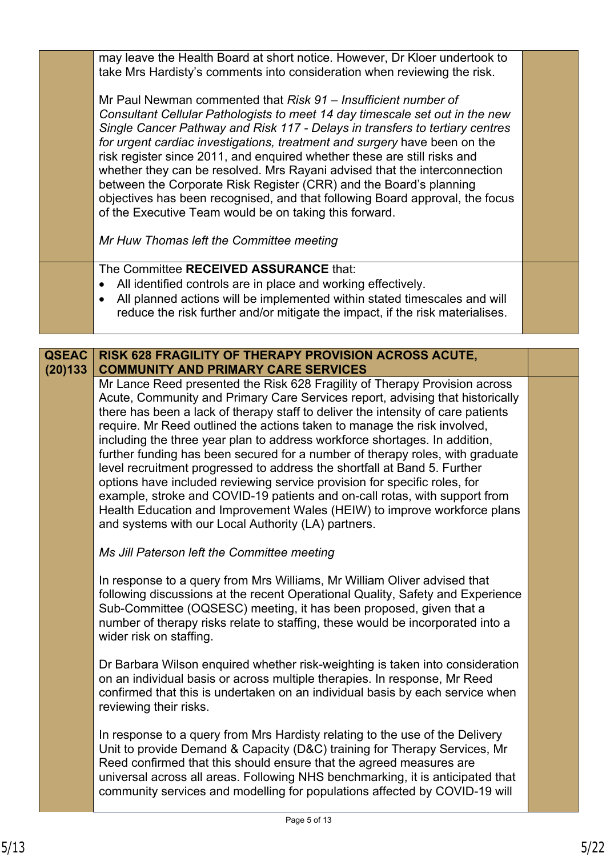may leave the Health Board at short notice. However, Dr Kloer undertook to take Mrs Hardisty's comments into consideration when reviewing the risk. Mr Paul Newman commented that *Risk 91 – Insufficient number of Consultant Cellular Pathologists to meet 14 day timescale set out in the new Single Cancer Pathway and Risk 117 - Delays in transfers to tertiary centres for urgent cardiac investigations, treatment and surgery* have been on the risk register since 2011, and enquired whether these are still risks and whether they can be resolved. Mrs Rayani advised that the interconnection between the Corporate Risk Register (CRR) and the Board's planning objectives has been recognised, and that following Board approval, the focus of the Executive Team would be on taking this forward. *Mr Huw Thomas left the Committee meeting* The Committee **RECEIVED ASSURANCE** that: All identified controls are in place and working effectively. All planned actions will be implemented within stated timescales and will reduce the risk further and/or mitigate the impact, if the risk materialises. **RISK 628 FRAGILITY OF THERAPY PROVISION ACROSS ACUTE, QSEAC** 

**COMMUNITY AND PRIMARY CARE SERVICES (20)133** Mr Lance Reed presented the Risk 628 Fragility of Therapy Provision across Acute, Community and Primary Care Services report, advising that historically there has been a lack of therapy staff to deliver the intensity of care patients require. Mr Reed outlined the actions taken to manage the risk involved, including the three year plan to address workforce shortages. In addition, further funding has been secured for a number of therapy roles, with graduate level recruitment progressed to address the shortfall at Band 5. Further options have included reviewing service provision for specific roles, for example, stroke and COVID-19 patients and on-call rotas, with support from Health Education and Improvement Wales (HEIW) to improve workforce plans and systems with our Local Authority (LA) partners.

*Ms Jill Paterson left the Committee meeting*

In response to a query from Mrs Williams, Mr William Oliver advised that following discussions at the recent Operational Quality, Safety and Experience Sub-Committee (OQSESC) meeting, it has been proposed, given that a number of therapy risks relate to staffing, these would be incorporated into a wider risk on staffing.

Dr Barbara Wilson enquired whether risk-weighting is taken into consideration on an individual basis or across multiple therapies. In response, Mr Reed confirmed that this is undertaken on an individual basis by each service when reviewing their risks.

In response to a query from Mrs Hardisty relating to the use of the Delivery Unit to provide Demand & Capacity (D&C) training for Therapy Services, Mr Reed confirmed that this should ensure that the agreed measures are universal across all areas. Following NHS benchmarking, it is anticipated that community services and modelling for populations affected by COVID-19 will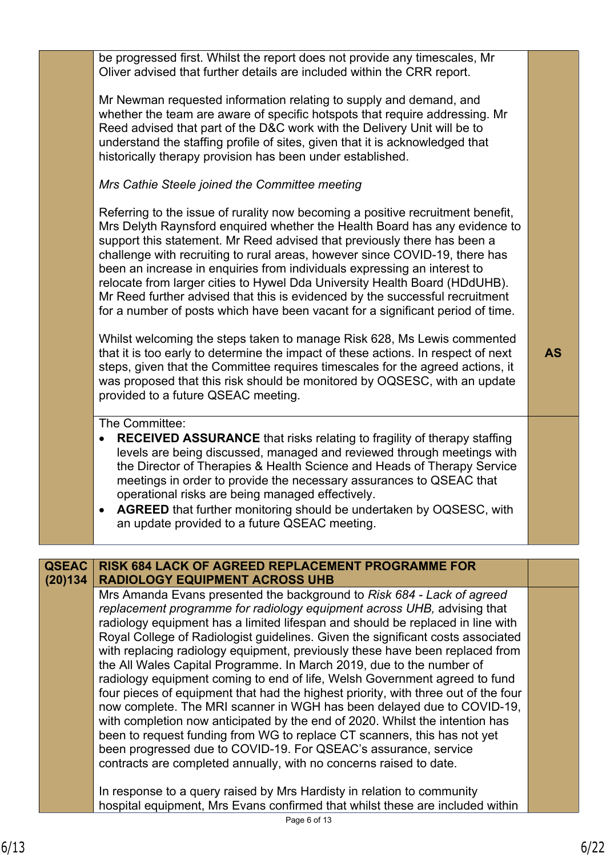Page 6 of 13 Oliver advised that further details are included within the CRR report. Mr Newman requested information relating to supply and demand, and whether the team are aware of specific hotspots that require addressing. Mr Reed advised that part of the D&C work with the Delivery Unit will be to understand the staffing profile of sites, given that it is acknowledged that historically therapy provision has been under established. *Mrs Cathie Steele joined the Committee meeting* Referring to the issue of rurality now becoming a positive recruitment benefit, Mrs Delyth Raynsford enquired whether the Health Board has any evidence to support this statement. Mr Reed advised that previously there has been a challenge with recruiting to rural areas, however since COVID-19, there has been an increase in enquiries from individuals expressing an interest to relocate from larger cities to Hywel Dda University Health Board (HDdUHB). Mr Reed further advised that this is evidenced by the successful recruitment for a number of posts which have been vacant for a significant period of time. Whilst welcoming the steps taken to manage Risk 628, Ms Lewis commented that it is too early to determine the impact of these actions. In respect of next steps, given that the Committee requires timescales for the agreed actions, it was proposed that this risk should be monitored by OQSESC, with an update provided to a future QSEAC meeting. **AS** The Committee: **RECEIVED ASSURANCE** that risks relating to fragility of therapy staffing levels are being discussed, managed and reviewed through meetings with the Director of Therapies & Health Science and Heads of Therapy Service meetings in order to provide the necessary assurances to QSEAC that operational risks are being managed effectively. **AGREED** that further monitoring should be undertaken by OQSESC, with an update provided to a future QSEAC meeting. **RISK 684 LACK OF AGREED REPLACEMENT PROGRAMME FOR RADIOLOGY EQUIPMENT ACROSS UHB QSEAC (20)134** Mrs Amanda Evans presented the background to *Risk 684 - Lack of agreed replacement programme for radiology equipment across UHB,* advising that radiology equipment has a limited lifespan and should be replaced in line with Royal College of Radiologist guidelines. Given the significant costs associated with replacing radiology equipment, previously these have been replaced from the All Wales Capital Programme. In March 2019, due to the number of radiology equipment coming to end of life, Welsh Government agreed to fund four pieces of equipment that had the highest priority, with three out of the four now complete. The MRI scanner in WGH has been delayed due to COVID-19, with completion now anticipated by the end of 2020. Whilst the intention has been to request funding from WG to replace CT scanners, this has not yet been progressed due to COVID-19. For QSEAC's assurance, service contracts are completed annually, with no concerns raised to date. In response to a query raised by Mrs Hardisty in relation to community hospital equipment, Mrs Evans confirmed that whilst these are included within

be progressed first. Whilst the report does not provide any timescales, Mr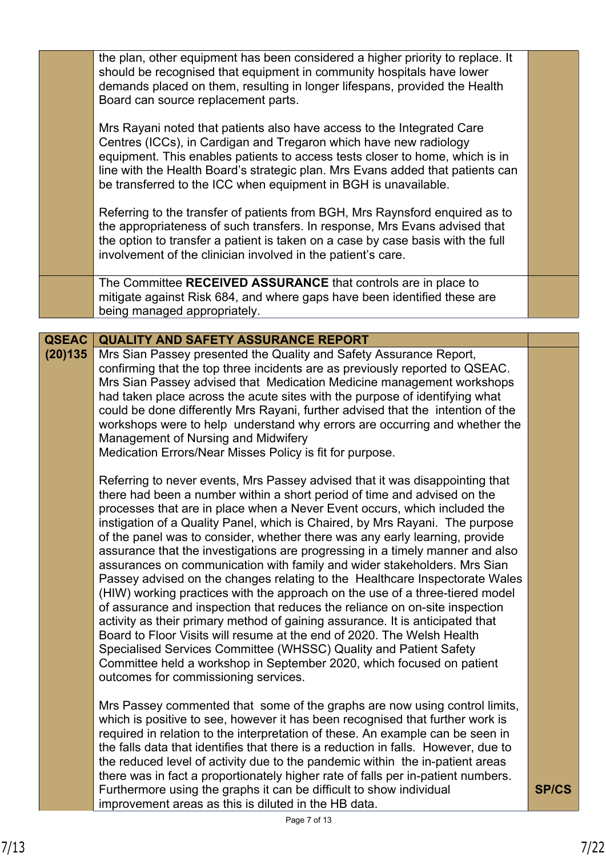|              | the plan, other equipment has been considered a higher priority to replace. It<br>should be recognised that equipment in community hospitals have lower<br>demands placed on them, resulting in longer lifespans, provided the Health<br>Board can source replacement parts.                                                                                                                                                                                                                                                                                                                                                                                                                                                                                                                                                                                                                                                                                                                         |              |
|--------------|------------------------------------------------------------------------------------------------------------------------------------------------------------------------------------------------------------------------------------------------------------------------------------------------------------------------------------------------------------------------------------------------------------------------------------------------------------------------------------------------------------------------------------------------------------------------------------------------------------------------------------------------------------------------------------------------------------------------------------------------------------------------------------------------------------------------------------------------------------------------------------------------------------------------------------------------------------------------------------------------------|--------------|
|              | Mrs Rayani noted that patients also have access to the Integrated Care<br>Centres (ICCs), in Cardigan and Tregaron which have new radiology<br>equipment. This enables patients to access tests closer to home, which is in<br>line with the Health Board's strategic plan. Mrs Evans added that patients can<br>be transferred to the ICC when equipment in BGH is unavailable.                                                                                                                                                                                                                                                                                                                                                                                                                                                                                                                                                                                                                     |              |
|              | Referring to the transfer of patients from BGH, Mrs Raynsford enquired as to<br>the appropriateness of such transfers. In response, Mrs Evans advised that<br>the option to transfer a patient is taken on a case by case basis with the full<br>involvement of the clinician involved in the patient's care.                                                                                                                                                                                                                                                                                                                                                                                                                                                                                                                                                                                                                                                                                        |              |
|              | The Committee RECEIVED ASSURANCE that controls are in place to<br>mitigate against Risk 684, and where gaps have been identified these are<br>being managed appropriately.                                                                                                                                                                                                                                                                                                                                                                                                                                                                                                                                                                                                                                                                                                                                                                                                                           |              |
|              |                                                                                                                                                                                                                                                                                                                                                                                                                                                                                                                                                                                                                                                                                                                                                                                                                                                                                                                                                                                                      |              |
| <b>QSEAC</b> | <b>QUALITY AND SAFETY ASSURANCE REPORT</b>                                                                                                                                                                                                                                                                                                                                                                                                                                                                                                                                                                                                                                                                                                                                                                                                                                                                                                                                                           |              |
| (20)135      | Mrs Sian Passey presented the Quality and Safety Assurance Report,<br>confirming that the top three incidents are as previously reported to QSEAC.<br>Mrs Sian Passey advised that Medication Medicine management workshops<br>had taken place across the acute sites with the purpose of identifying what<br>could be done differently Mrs Rayani, further advised that the intention of the<br>workshops were to help understand why errors are occurring and whether the<br>Management of Nursing and Midwifery<br>Medication Errors/Near Misses Policy is fit for purpose.<br>Referring to never events, Mrs Passey advised that it was disappointing that<br>there had been a number within a short period of time and advised on the                                                                                                                                                                                                                                                           |              |
|              | processes that are in place when a Never Event occurs, which included the<br>instigation of a Quality Panel, which is Chaired, by Mrs Rayani. The purpose<br>of the panel was to consider, whether there was any early learning, provide<br>assurance that the investigations are progressing in a timely manner and also<br>assurances on communication with family and wider stakeholders. Mrs Sian<br>Passey advised on the changes relating to the Healthcare Inspectorate Wales<br>(HIW) working practices with the approach on the use of a three-tiered model<br>of assurance and inspection that reduces the reliance on on-site inspection<br>activity as their primary method of gaining assurance. It is anticipated that<br>Board to Floor Visits will resume at the end of 2020. The Welsh Health<br>Specialised Services Committee (WHSSC) Quality and Patient Safety<br>Committee held a workshop in September 2020, which focused on patient<br>outcomes for commissioning services. |              |
|              | Mrs Passey commented that some of the graphs are now using control limits,<br>which is positive to see, however it has been recognised that further work is<br>required in relation to the interpretation of these. An example can be seen in<br>the falls data that identifies that there is a reduction in falls. However, due to<br>the reduced level of activity due to the pandemic within the in-patient areas                                                                                                                                                                                                                                                                                                                                                                                                                                                                                                                                                                                 |              |
|              | there was in fact a proportionately higher rate of falls per in-patient numbers.<br>Furthermore using the graphs it can be difficult to show individual<br>improvement areas as this is diluted in the HB data.                                                                                                                                                                                                                                                                                                                                                                                                                                                                                                                                                                                                                                                                                                                                                                                      | <b>SP/CS</b> |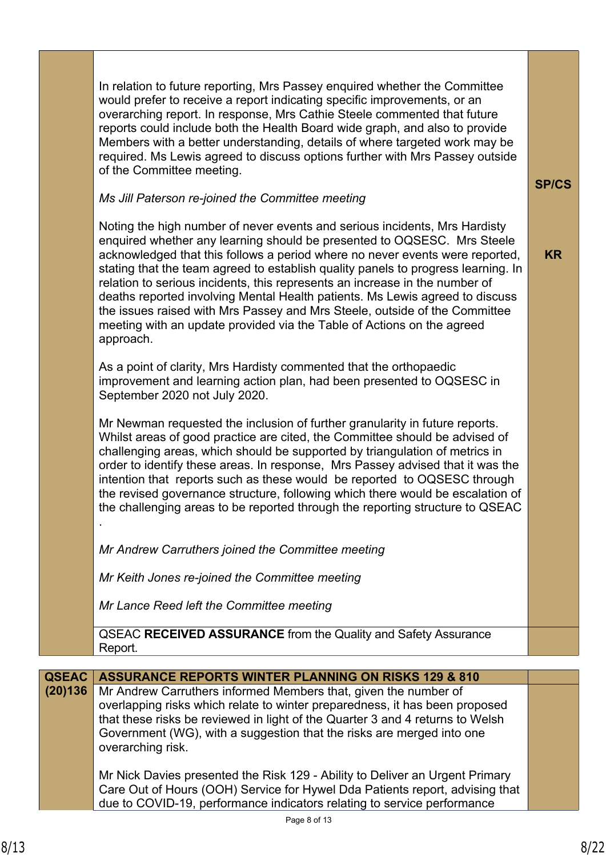In relation to future reporting, Mrs Passey enquired whether the Committee would prefer to receive a report indicating specific improvements, or an overarching report. In response, Mrs Cathie Steele commented that future reports could include both the Health Board wide graph, and also to provide Members with a better understanding, details of where targeted work may be required. Ms Lewis agreed to discuss options further with Mrs Passey outside of the Committee meeting.

## *Ms Jill Paterson re-joined the Committee meeting*

Noting the high number of never events and serious incidents, Mrs Hardisty enquired whether any learning should be presented to OQSESC. Mrs Steele acknowledged that this follows a period where no never events were reported, stating that the team agreed to establish quality panels to progress learning. In relation to serious incidents, this represents an increase in the number of deaths reported involving Mental Health patients. Ms Lewis agreed to discuss the issues raised with Mrs Passey and Mrs Steele, outside of the Committee meeting with an update provided via the Table of Actions on the agreed approach.

As a point of clarity, Mrs Hardisty commented that the orthopaedic improvement and learning action plan, had been presented to OQSESC in September 2020 not July 2020.

Mr Newman requested the inclusion of further granularity in future reports. Whilst areas of good practice are cited, the Committee should be advised of challenging areas, which should be supported by triangulation of metrics in order to identify these areas. In response, Mrs Passey advised that it was the intention that reports such as these would be reported to OQSESC through the revised governance structure, following which there would be escalation of the challenging areas to be reported through the reporting structure to QSEAC .

*Mr Andrew Carruthers joined the Committee meeting* 

*Mr Keith Jones re-joined the Committee meeting*

*Mr Lance Reed left the Committee meeting*

QSEAC **RECEIVED ASSURANCE** from the Quality and Safety Assurance Report.

| QSEAC   | <b>ASSURANCE REPORTS WINTER PLANNING ON RISKS 129 &amp; 810</b>               |  |
|---------|-------------------------------------------------------------------------------|--|
| (20)136 | Mr Andrew Carruthers informed Members that, given the number of               |  |
|         | overlapping risks which relate to winter preparedness, it has been proposed   |  |
|         | that these risks be reviewed in light of the Quarter 3 and 4 returns to Welsh |  |
|         | Government (WG), with a suggestion that the risks are merged into one         |  |
|         | overarching risk.                                                             |  |
|         |                                                                               |  |
|         | Mr Nick Davies presented the Risk 129 - Ability to Deliver an Urgent Primary  |  |
|         | Care Out of Hours (OOH) Service for Hywel Dda Patients report, advising that  |  |
|         | due to COVID-19, performance indicators relating to service performance       |  |

**SP/CS**

**KR**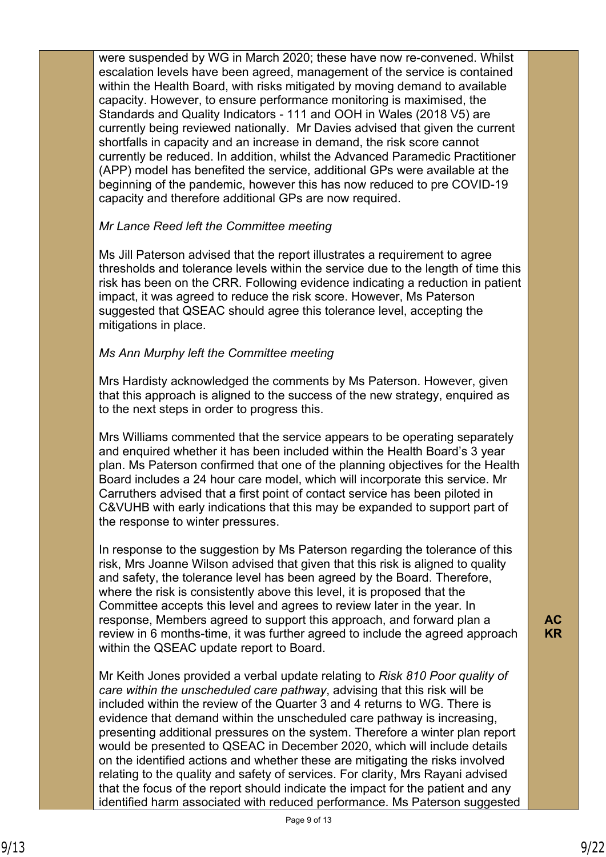were suspended by WG in March 2020; these have now re-convened. Whilst escalation levels have been agreed, management of the service is contained within the Health Board, with risks mitigated by moving demand to available capacity. However, to ensure performance monitoring is maximised, the Standards and Quality Indicators - 111 and OOH in Wales (2018 V5) are currently being reviewed nationally. Mr Davies advised that given the current shortfalls in capacity and an increase in demand, the risk score cannot currently be reduced. In addition, whilst the Advanced Paramedic Practitioner (APP) model has benefited the service, additional GPs were available at the beginning of the pandemic, however this has now reduced to pre COVID-19 capacity and therefore additional GPs are now required.

# *Mr Lance Reed left the Committee meeting*

Ms Jill Paterson advised that the report illustrates a requirement to agree thresholds and tolerance levels within the service due to the length of time this risk has been on the CRR. Following evidence indicating a reduction in patient impact, it was agreed to reduce the risk score. However, Ms Paterson suggested that QSEAC should agree this tolerance level, accepting the mitigations in place.

## *Ms Ann Murphy left the Committee meeting*

Mrs Hardisty acknowledged the comments by Ms Paterson. However, given that this approach is aligned to the success of the new strategy, enquired as to the next steps in order to progress this.

Mrs Williams commented that the service appears to be operating separately and enquired whether it has been included within the Health Board's 3 year plan. Ms Paterson confirmed that one of the planning objectives for the Health Board includes a 24 hour care model, which will incorporate this service. Mr Carruthers advised that a first point of contact service has been piloted in C&VUHB with early indications that this may be expanded to support part of the response to winter pressures.

In response to the suggestion by Ms Paterson regarding the tolerance of this risk, Mrs Joanne Wilson advised that given that this risk is aligned to quality and safety, the tolerance level has been agreed by the Board. Therefore, where the risk is consistently above this level, it is proposed that the Committee accepts this level and agrees to review later in the year. In response, Members agreed to support this approach, and forward plan a review in 6 months-time, it was further agreed to include the agreed approach within the QSEAC update report to Board.

Mr Keith Jones provided a verbal update relating to *Risk 810 Poor quality of care within the unscheduled care pathway*, advising that this risk will be included within the review of the Quarter 3 and 4 returns to WG. There is evidence that demand within the unscheduled care pathway is increasing, presenting additional pressures on the system. Therefore a winter plan report would be presented to QSEAC in December 2020, which will include details on the identified actions and whether these are mitigating the risks involved relating to the quality and safety of services. For clarity, Mrs Rayani advised that the focus of the report should indicate the impact for the patient and any identified harm associated with reduced performance. Ms Paterson suggested **AC KR**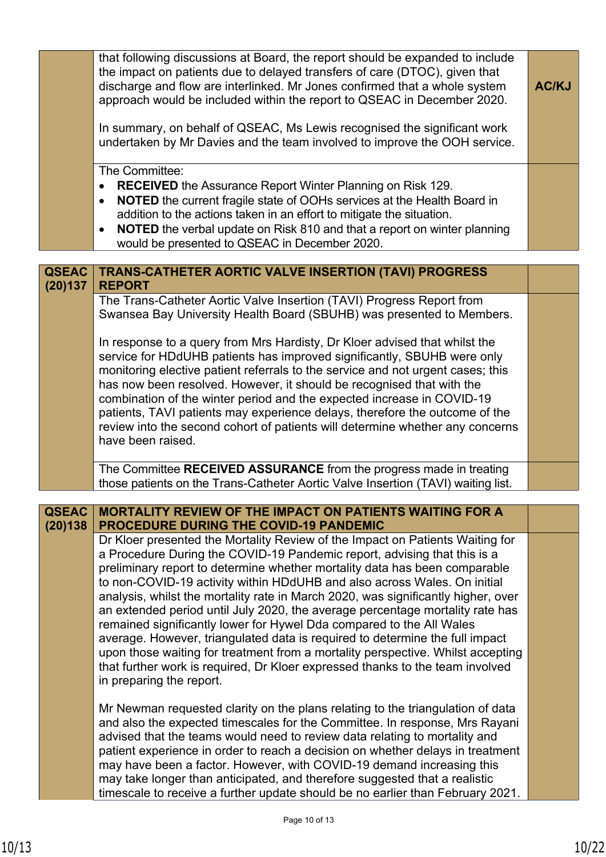|              | that following discussions at Board, the report should be expanded to include<br>the impact on patients due to delayed transfers of care (DTOC), given that<br>discharge and flow are interlinked. Mr Jones confirmed that a whole system<br>approach would be included within the report to QSEAC in December 2020.<br>In summary, on behalf of QSEAC, Ms Lewis recognised the significant work<br>undertaken by Mr Davies and the team involved to improve the OOH service.<br>The Committee:<br><b>RECEIVED</b> the Assurance Report Winter Planning on Risk 129.<br>$\bullet$ | <b>AC/KJ</b> |
|--------------|-----------------------------------------------------------------------------------------------------------------------------------------------------------------------------------------------------------------------------------------------------------------------------------------------------------------------------------------------------------------------------------------------------------------------------------------------------------------------------------------------------------------------------------------------------------------------------------|--------------|
|              | <b>NOTED</b> the current fragile state of OOHs services at the Health Board in<br>addition to the actions taken in an effort to mitigate the situation.<br><b>NOTED</b> the verbal update on Risk 810 and that a report on winter planning                                                                                                                                                                                                                                                                                                                                        |              |
|              | would be presented to QSEAC in December 2020.                                                                                                                                                                                                                                                                                                                                                                                                                                                                                                                                     |              |
| <b>QSEAC</b> | TRANS-CATHETER AORTIC VALVE INSERTION (TAVI) PROGRESS                                                                                                                                                                                                                                                                                                                                                                                                                                                                                                                             |              |
| (20)137      | <b>REPORT</b><br>The Trans-Catheter Aortic Valve Insertion (TAVI) Progress Report from<br>Swansea Bay University Health Board (SBUHB) was presented to Members.                                                                                                                                                                                                                                                                                                                                                                                                                   |              |
|              | In response to a query from Mrs Hardisty, Dr Kloer advised that whilst the<br>service for HDdUHB patients has improved significantly, SBUHB were only<br>monitoring elective patient referrals to the service and not urgent cases; this<br>has now been resolved. However, it should be recognised that with the<br>combination of the winter period and the expected increase in COVID-19<br>patients, TAVI patients may experience delays, therefore the outcome of the<br>review into the second cohort of patients will determine whether any concerns<br>have been raised.  |              |
|              | The Committee RECEIVED ASSURANCE from the progress made in treating<br>those patients on the Trans-Catheter Aortic Valve Insertion (TAVI) waiting list.                                                                                                                                                                                                                                                                                                                                                                                                                           |              |
| <b>QSEAC</b> | <b>MORTALITY REVIEW OF THE IMPACT ON PATIENTS WAITING FOR A</b>                                                                                                                                                                                                                                                                                                                                                                                                                                                                                                                   |              |
| (20)138      | <b>PROCEDURE DURING THE COVID-19 PANDEMIC</b><br>Dr Kloer presented the Mortality Review of the Impact on Patients Waiting for<br>a Procedure During the COVID-19 Pandemic report, advising that this is a<br>preliminary report to determine whether mortality data has been comparable<br>to non-COVID-19 activity within HDdUHB and also across Wales. On initial<br>analysis, whilst the mortality rate in March 2020, was significantly higher, over                                                                                                                         |              |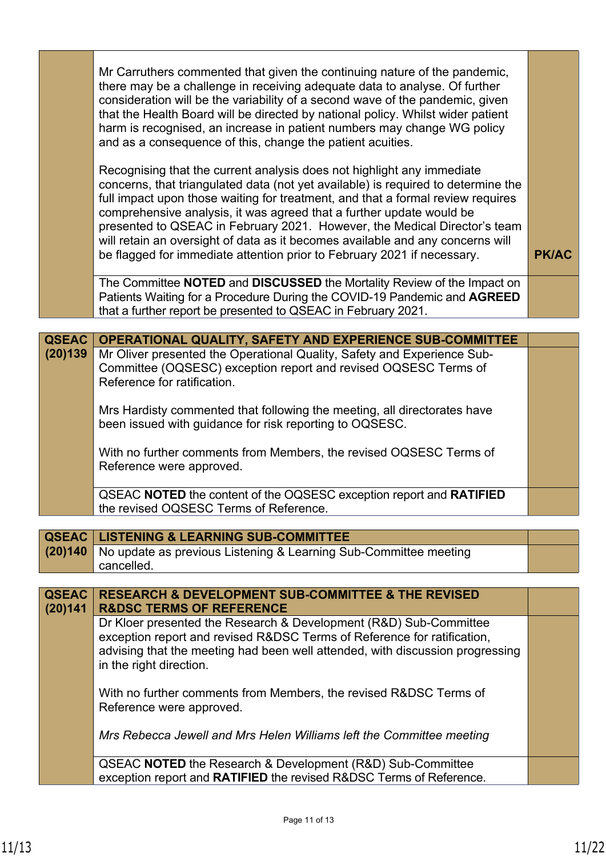|              | Mr Carruthers commented that given the continuing nature of the pandemic,<br>there may be a challenge in receiving adequate data to analyse. Of further<br>consideration will be the variability of a second wave of the pandemic, given<br>that the Health Board will be directed by national policy. Whilst wider patient<br>harm is recognised, an increase in patient numbers may change WG policy<br>and as a consequence of this, change the patient acuities.                                                                                             |              |
|--------------|------------------------------------------------------------------------------------------------------------------------------------------------------------------------------------------------------------------------------------------------------------------------------------------------------------------------------------------------------------------------------------------------------------------------------------------------------------------------------------------------------------------------------------------------------------------|--------------|
|              | Recognising that the current analysis does not highlight any immediate<br>concerns, that triangulated data (not yet available) is required to determine the<br>full impact upon those waiting for treatment, and that a formal review requires<br>comprehensive analysis, it was agreed that a further update would be<br>presented to QSEAC in February 2021. However, the Medical Director's team<br>will retain an oversight of data as it becomes available and any concerns will<br>be flagged for immediate attention prior to February 2021 if necessary. | <b>PK/AC</b> |
|              | The Committee NOTED and DISCUSSED the Mortality Review of the Impact on<br>Patients Waiting for a Procedure During the COVID-19 Pandemic and AGREED<br>that a further report be presented to QSEAC in February 2021.                                                                                                                                                                                                                                                                                                                                             |              |
|              |                                                                                                                                                                                                                                                                                                                                                                                                                                                                                                                                                                  |              |
| <b>QSEAC</b> | <b>OPERATIONAL QUALITY, SAFETY AND EXPERIENCE SUB-COMMITTEE</b>                                                                                                                                                                                                                                                                                                                                                                                                                                                                                                  |              |
| (20)139      | Mr Oliver presented the Operational Quality, Safety and Experience Sub-<br>Committee (OQSESC) exception report and revised OQSESC Terms of<br>Reference for ratification.                                                                                                                                                                                                                                                                                                                                                                                        |              |
|              | Mrs Hardisty commented that following the meeting, all directorates have<br>been issued with guidance for risk reporting to OQSESC.                                                                                                                                                                                                                                                                                                                                                                                                                              |              |
|              | With no further comments from Members, the revised OQSESC Terms of<br>Reference were approved.                                                                                                                                                                                                                                                                                                                                                                                                                                                                   |              |
|              | QSEAC NOTED the content of the OQSESC exception report and RATIFIED<br>the revised OQSESC Terms of Reference.                                                                                                                                                                                                                                                                                                                                                                                                                                                    |              |
|              |                                                                                                                                                                                                                                                                                                                                                                                                                                                                                                                                                                  |              |
| <b>QSEAC</b> | <b>LISTENING &amp; LEARNING SUB-COMMITTEE</b>                                                                                                                                                                                                                                                                                                                                                                                                                                                                                                                    |              |

| <u>E QOEAU EIJO ENING &amp; LEARNING SUD-CUMMITTEE</u>                          |
|---------------------------------------------------------------------------------|
| <b>(20)140</b> No update as previous Listening & Learning Sub-Committee meeting |
| cancelled.                                                                      |

| <b>QSEAC</b><br>(20)141 | <b>RESEARCH &amp; DEVELOPMENT SUB-COMMITTEE &amp; THE REVISED</b><br><b>R&amp;DSC TERMS OF REFERENCE</b>                                                                                                                                                 |  |
|-------------------------|----------------------------------------------------------------------------------------------------------------------------------------------------------------------------------------------------------------------------------------------------------|--|
|                         | Dr Kloer presented the Research & Development (R&D) Sub-Committee<br>exception report and revised R&DSC Terms of Reference for ratification,<br>advising that the meeting had been well attended, with discussion progressing<br>in the right direction. |  |
|                         | With no further comments from Members, the revised R&DSC Terms of<br>Reference were approved.                                                                                                                                                            |  |
|                         | Mrs Rebecca Jewell and Mrs Helen Williams left the Committee meeting                                                                                                                                                                                     |  |
|                         | QSEAC <b>NOTED</b> the Research & Development (R&D) Sub-Committee<br>exception report and RATIFIED the revised R&DSC Terms of Reference.                                                                                                                 |  |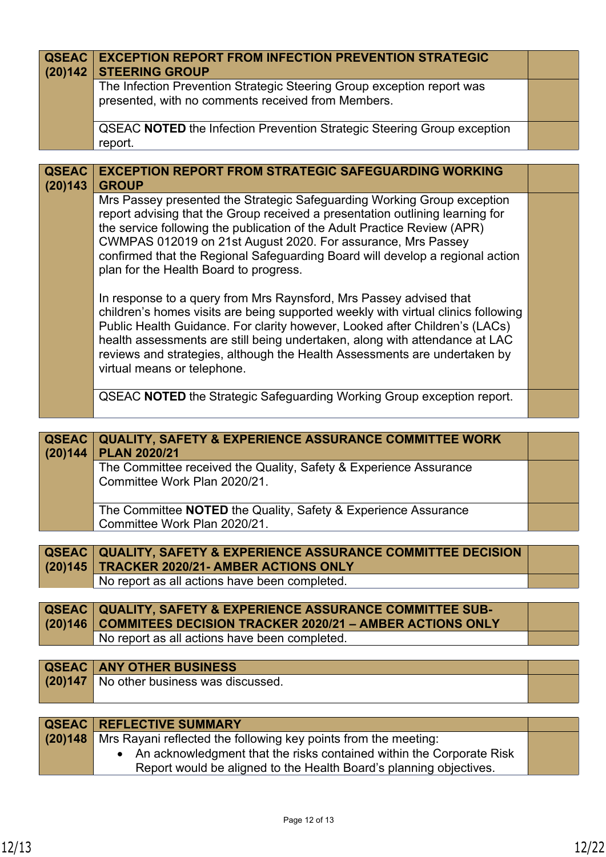| <b>QSEAC</b><br>(20)142 | <b>EXCEPTION REPORT FROM INFECTION PREVENTION STRATEGIC</b><br><b>STEERING GROUP</b>                                                                                                                                                                                                                                                                                                                                              |  |
|-------------------------|-----------------------------------------------------------------------------------------------------------------------------------------------------------------------------------------------------------------------------------------------------------------------------------------------------------------------------------------------------------------------------------------------------------------------------------|--|
|                         | The Infection Prevention Strategic Steering Group exception report was<br>presented, with no comments received from Members.                                                                                                                                                                                                                                                                                                      |  |
|                         | <b>QSEAC NOTED</b> the Infection Prevention Strategic Steering Group exception<br>report.                                                                                                                                                                                                                                                                                                                                         |  |
|                         |                                                                                                                                                                                                                                                                                                                                                                                                                                   |  |
| <b>QSEAC</b><br>(20)143 | <b>EXCEPTION REPORT FROM STRATEGIC SAFEGUARDING WORKING</b><br><b>GROUP</b>                                                                                                                                                                                                                                                                                                                                                       |  |
|                         | Mrs Passey presented the Strategic Safeguarding Working Group exception<br>report advising that the Group received a presentation outlining learning for<br>the service following the publication of the Adult Practice Review (APR)<br>CWMPAS 012019 on 21st August 2020. For assurance, Mrs Passey<br>confirmed that the Regional Safeguarding Board will develop a regional action<br>plan for the Health Board to progress.   |  |
|                         | In response to a query from Mrs Raynsford, Mrs Passey advised that<br>children's homes visits are being supported weekly with virtual clinics following<br>Public Health Guidance. For clarity however, Looked after Children's (LACs)<br>health assessments are still being undertaken, along with attendance at LAC<br>reviews and strategies, although the Health Assessments are undertaken by<br>virtual means or telephone. |  |
|                         | <b>QSEAC NOTED</b> the Strategic Safeguarding Working Group exception report.                                                                                                                                                                                                                                                                                                                                                     |  |

| (20)144 | <b>QSEAC   QUALITY, SAFETY &amp; EXPERIENCE ASSURANCE COMMITTEE WORK</b><br><b>PLAN 2020/21</b>       |  |
|---------|-------------------------------------------------------------------------------------------------------|--|
|         | The Committee received the Quality, Safety & Experience Assurance<br>Committee Work Plan 2020/21.     |  |
|         | The Committee <b>NOTED</b> the Quality, Safety & Experience Assurance<br>Committee Work Plan 2020/21. |  |

| <b>QSEAC   QUALITY, SAFETY &amp; EXPERIENCE ASSURANCE COMMITTEE DECISION</b> |  |
|------------------------------------------------------------------------------|--|
| $(20)145$ TRACKER 2020/21- AMBER ACTIONS ONLY                                |  |
| No report as all actions have been completed.                                |  |

| <b>QSEAC   QUALITY, SAFETY &amp; EXPERIENCE ASSURANCE COMMITTEE SUB-</b> |  |
|--------------------------------------------------------------------------|--|
| (20)146 COMMITEES DECISION TRACKER 2020/21 - AMBER ACTIONS ONLY          |  |
| No report as all actions have been completed.                            |  |
|                                                                          |  |

| <b>QSEAC ANY OTHER BUSINESS</b>          |  |
|------------------------------------------|--|
| (20)147 No other business was discussed. |  |
|                                          |  |

| <b>QSEAC   REFLECTIVE SUMMARY</b>                                         |  |
|---------------------------------------------------------------------------|--|
| (20)148   Mrs Rayani reflected the following key points from the meeting: |  |
| • An acknowledgment that the risks contained within the Corporate Risk    |  |
| Report would be aligned to the Health Board's planning objectives.        |  |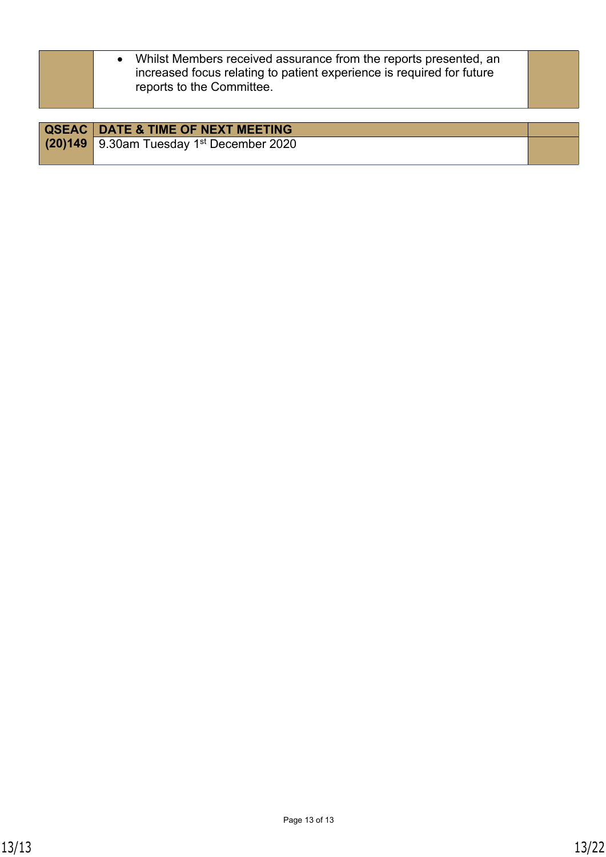|         | • Whilst Members received assurance from the reports presented, an<br>increased focus relating to patient experience is required for future<br>reports to the Committee. |  |
|---------|--------------------------------------------------------------------------------------------------------------------------------------------------------------------------|--|
|         |                                                                                                                                                                          |  |
|         | <b>QSEAC   DATE &amp; TIME OF NEXT MEETING</b>                                                                                                                           |  |
| (20)149 | 9.30am Tuesday 1 <sup>st</sup> December 2020                                                                                                                             |  |
|         |                                                                                                                                                                          |  |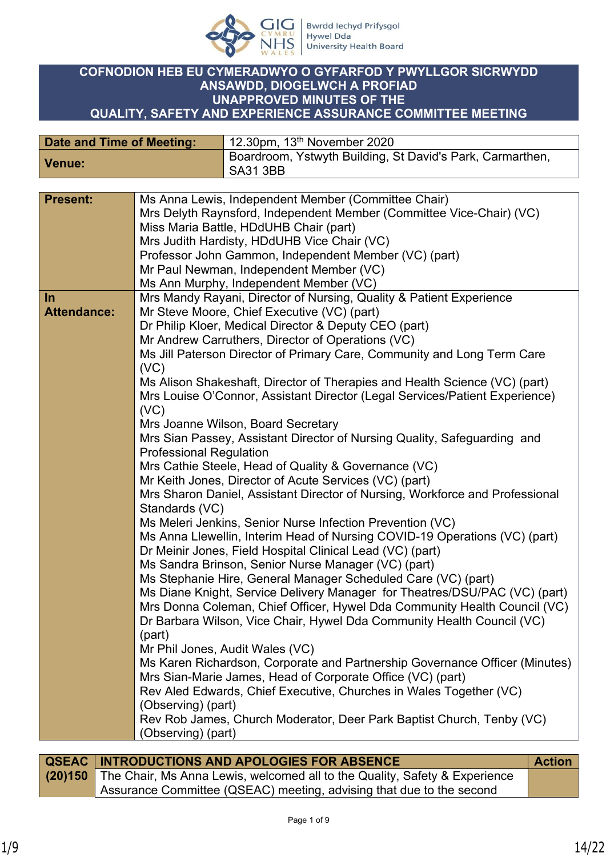

#### **COFNODION HEB EU CYMERADWYO O GYFARFOD Y PWYLLGOR SICRWYDD ANSAWDD, DIOGELWCH A PROFIAD UNAPPROVED MINUTES OF THE QUALITY, SAFETY AND EXPERIENCE ASSURANCE COMMITTEE MEETING**

| Date and Time of Meeting: | 12.30pm, $13th$ November 2020                                                |
|---------------------------|------------------------------------------------------------------------------|
| Venue:                    | Boardroom, Ystwyth Building, St David's Park, Carmarthen,<br><b>SA31 3BB</b> |

| <b>Present:</b>    | Ms Anna Lewis, Independent Member (Committee Chair)                          |
|--------------------|------------------------------------------------------------------------------|
|                    | Mrs Delyth Raynsford, Independent Member (Committee Vice-Chair) (VC)         |
|                    | Miss Maria Battle, HDdUHB Chair (part)                                       |
|                    | Mrs Judith Hardisty, HDdUHB Vice Chair (VC)                                  |
|                    | Professor John Gammon, Independent Member (VC) (part)                        |
|                    | Mr Paul Newman, Independent Member (VC)                                      |
|                    | Ms Ann Murphy, Independent Member (VC)                                       |
| $\ln$              | Mrs Mandy Rayani, Director of Nursing, Quality & Patient Experience          |
| <b>Attendance:</b> | Mr Steve Moore, Chief Executive (VC) (part)                                  |
|                    | Dr Philip Kloer, Medical Director & Deputy CEO (part)                        |
|                    | Mr Andrew Carruthers, Director of Operations (VC)                            |
|                    |                                                                              |
|                    | Ms Jill Paterson Director of Primary Care, Community and Long Term Care      |
|                    | (VC)                                                                         |
|                    | Ms Alison Shakeshaft, Director of Therapies and Health Science (VC) (part)   |
|                    | Mrs Louise O'Connor, Assistant Director (Legal Services/Patient Experience)  |
|                    | (VC)                                                                         |
|                    | Mrs Joanne Wilson, Board Secretary                                           |
|                    | Mrs Sian Passey, Assistant Director of Nursing Quality, Safeguarding and     |
|                    | <b>Professional Regulation</b>                                               |
|                    | Mrs Cathie Steele, Head of Quality & Governance (VC)                         |
|                    | Mr Keith Jones, Director of Acute Services (VC) (part)                       |
|                    | Mrs Sharon Daniel, Assistant Director of Nursing, Workforce and Professional |
|                    | Standards (VC)                                                               |
|                    | Ms Meleri Jenkins, Senior Nurse Infection Prevention (VC)                    |
|                    | Ms Anna Llewellin, Interim Head of Nursing COVID-19 Operations (VC) (part)   |
|                    | Dr Meinir Jones, Field Hospital Clinical Lead (VC) (part)                    |
|                    | Ms Sandra Brinson, Senior Nurse Manager (VC) (part)                          |
|                    |                                                                              |
|                    | Ms Stephanie Hire, General Manager Scheduled Care (VC) (part)                |
|                    | Ms Diane Knight, Service Delivery Manager for Theatres/DSU/PAC (VC) (part)   |
|                    | Mrs Donna Coleman, Chief Officer, Hywel Dda Community Health Council (VC)    |
|                    | Dr Barbara Wilson, Vice Chair, Hywel Dda Community Health Council (VC)       |
|                    | (part)                                                                       |
|                    | Mr Phil Jones, Audit Wales (VC)                                              |
|                    | Ms Karen Richardson, Corporate and Partnership Governance Officer (Minutes)  |
|                    | Mrs Sian-Marie James, Head of Corporate Office (VC) (part)                   |
|                    | Rev Aled Edwards, Chief Executive, Churches in Wales Together (VC)           |
|                    | (Observing) (part)                                                           |
|                    | Rev Rob James, Church Moderator, Deer Park Baptist Church, Tenby (VC)        |
|                    | (Observing) (part)                                                           |
|                    |                                                                              |

| QSEAC   INTRODUCTIONS AND APOLOGIES FOR ABSENCE                                    | <b>Action</b> |
|------------------------------------------------------------------------------------|---------------|
| (20)150 The Chair, Ms Anna Lewis, welcomed all to the Quality, Safety & Experience |               |
| Assurance Committee (QSEAC) meeting, advising that due to the second               |               |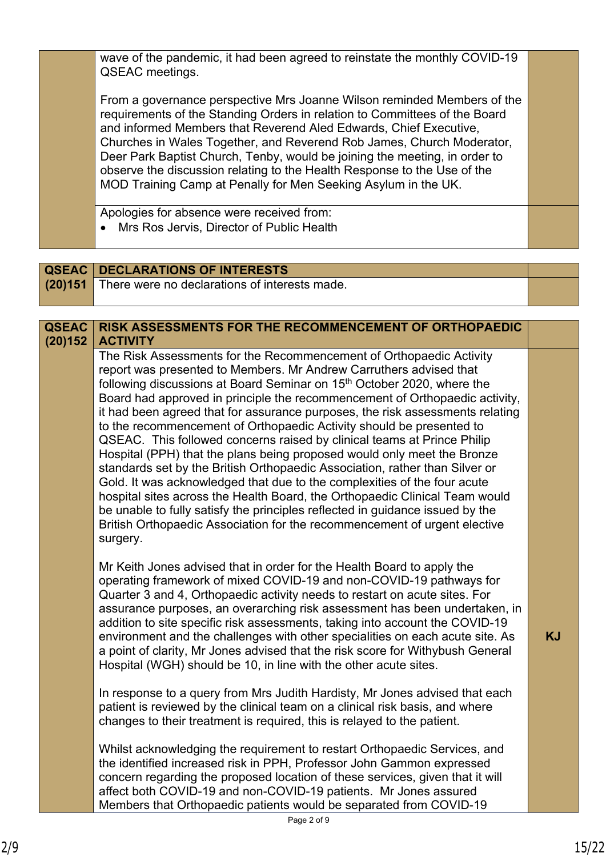wave of the pandemic, it had been agreed to reinstate the monthly COVID-19 QSEAC meetings. From a governance perspective Mrs Joanne Wilson reminded Members of the requirements of the Standing Orders in relation to Committees of the Board and informed Members that Reverend Aled Edwards, Chief Executive, Churches in Wales Together, and Reverend Rob James, Church Moderator, Deer Park Baptist Church, Tenby, would be joining the meeting, in order to observe the discussion relating to the Health Response to the Use of the MOD Training Camp at Penally for Men Seeking Asylum in the UK. Apologies for absence were received from: Mrs Ros Jervis, Director of Public Health

**QSEAC | DECLARATIONS OF INTERESTS (20)151** There were no declarations of interests made.

| <b>QSEAC</b><br>(20)152 | <b>RISK ASSESSMENTS FOR THE RECOMMENCEMENT OF ORTHOPAEDIC</b><br><b>ACTIVITY</b>                                                                                                                                                                                                                                                                                                                                                                                                                                                                                                                                                                                                                                                                                                                                                                                                                                                                                                                                                                  |           |
|-------------------------|---------------------------------------------------------------------------------------------------------------------------------------------------------------------------------------------------------------------------------------------------------------------------------------------------------------------------------------------------------------------------------------------------------------------------------------------------------------------------------------------------------------------------------------------------------------------------------------------------------------------------------------------------------------------------------------------------------------------------------------------------------------------------------------------------------------------------------------------------------------------------------------------------------------------------------------------------------------------------------------------------------------------------------------------------|-----------|
|                         | The Risk Assessments for the Recommencement of Orthopaedic Activity<br>report was presented to Members. Mr Andrew Carruthers advised that<br>following discussions at Board Seminar on 15 <sup>th</sup> October 2020, where the<br>Board had approved in principle the recommencement of Orthopaedic activity,<br>it had been agreed that for assurance purposes, the risk assessments relating<br>to the recommencement of Orthopaedic Activity should be presented to<br>QSEAC. This followed concerns raised by clinical teams at Prince Philip<br>Hospital (PPH) that the plans being proposed would only meet the Bronze<br>standards set by the British Orthopaedic Association, rather than Silver or<br>Gold. It was acknowledged that due to the complexities of the four acute<br>hospital sites across the Health Board, the Orthopaedic Clinical Team would<br>be unable to fully satisfy the principles reflected in guidance issued by the<br>British Orthopaedic Association for the recommencement of urgent elective<br>surgery. |           |
|                         | Mr Keith Jones advised that in order for the Health Board to apply the<br>operating framework of mixed COVID-19 and non-COVID-19 pathways for<br>Quarter 3 and 4, Orthopaedic activity needs to restart on acute sites. For<br>assurance purposes, an overarching risk assessment has been undertaken, in<br>addition to site specific risk assessments, taking into account the COVID-19<br>environment and the challenges with other specialities on each acute site. As<br>a point of clarity, Mr Jones advised that the risk score for Withybush General<br>Hospital (WGH) should be 10, in line with the other acute sites.                                                                                                                                                                                                                                                                                                                                                                                                                  | <b>KJ</b> |
|                         | In response to a query from Mrs Judith Hardisty, Mr Jones advised that each<br>patient is reviewed by the clinical team on a clinical risk basis, and where<br>changes to their treatment is required, this is relayed to the patient.                                                                                                                                                                                                                                                                                                                                                                                                                                                                                                                                                                                                                                                                                                                                                                                                            |           |
|                         | Whilst acknowledging the requirement to restart Orthopaedic Services, and<br>the identified increased risk in PPH, Professor John Gammon expressed<br>concern regarding the proposed location of these services, given that it will<br>affect both COVID-19 and non-COVID-19 patients. Mr Jones assured<br>Members that Orthopaedic patients would be separated from COVID-19                                                                                                                                                                                                                                                                                                                                                                                                                                                                                                                                                                                                                                                                     |           |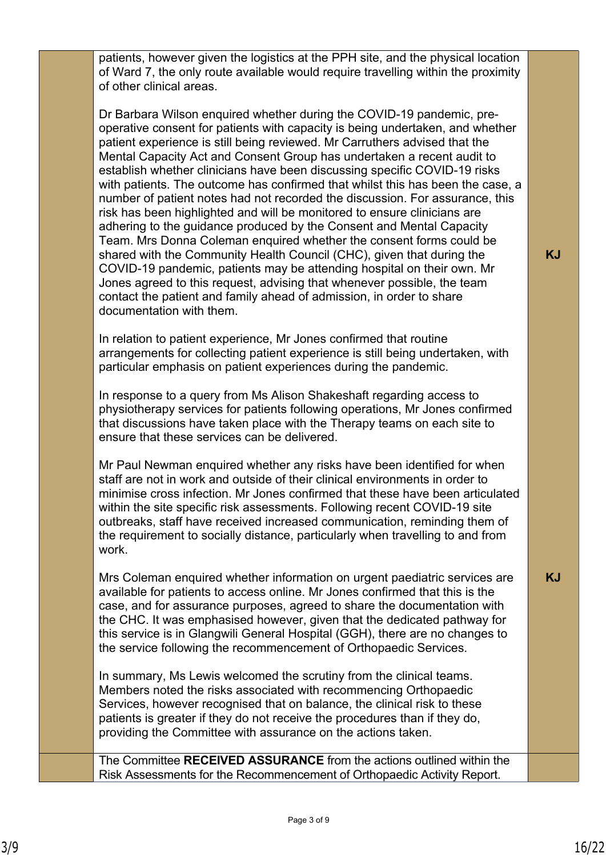patients, however given the logistics at the PPH site, and the physical location of Ward 7, the only route available would require travelling within the proximity of other clinical areas.

Dr Barbara Wilson enquired whether during the COVID-19 pandemic, preoperative consent for patients with capacity is being undertaken, and whether patient experience is still being reviewed. Mr Carruthers advised that the Mental Capacity Act and Consent Group has undertaken a recent audit to establish whether clinicians have been discussing specific COVID-19 risks with patients. The outcome has confirmed that whilst this has been the case, a number of patient notes had not recorded the discussion. For assurance, this risk has been highlighted and will be monitored to ensure clinicians are adhering to the guidance produced by the Consent and Mental Capacity Team. Mrs Donna Coleman enquired whether the consent forms could be shared with the Community Health Council (CHC), given that during the COVID-19 pandemic, patients may be attending hospital on their own. Mr Jones agreed to this request, advising that whenever possible, the team contact the patient and family ahead of admission, in order to share documentation with them.

In relation to patient experience, Mr Jones confirmed that routine arrangements for collecting patient experience is still being undertaken, with particular emphasis on patient experiences during the pandemic.

In response to a query from Ms Alison Shakeshaft regarding access to physiotherapy services for patients following operations, Mr Jones confirmed that discussions have taken place with the Therapy teams on each site to ensure that these services can be delivered.

Mr Paul Newman enquired whether any risks have been identified for when staff are not in work and outside of their clinical environments in order to minimise cross infection. Mr Jones confirmed that these have been articulated within the site specific risk assessments. Following recent COVID-19 site outbreaks, staff have received increased communication, reminding them of the requirement to socially distance, particularly when travelling to and from work.

Mrs Coleman enquired whether information on urgent paediatric services are available for patients to access online. Mr Jones confirmed that this is the case, and for assurance purposes, agreed to share the documentation with the CHC. It was emphasised however, given that the dedicated pathway for this service is in Glangwili General Hospital (GGH), there are no changes to the service following the recommencement of Orthopaedic Services.

In summary, Ms Lewis welcomed the scrutiny from the clinical teams. Members noted the risks associated with recommencing Orthopaedic Services, however recognised that on balance, the clinical risk to these patients is greater if they do not receive the procedures than if they do, providing the Committee with assurance on the actions taken.

The Committee **RECEIVED ASSURANCE** from the actions outlined within the Risk Assessments for the Recommencement of Orthopaedic Activity Report.

**KJ**

**KJ**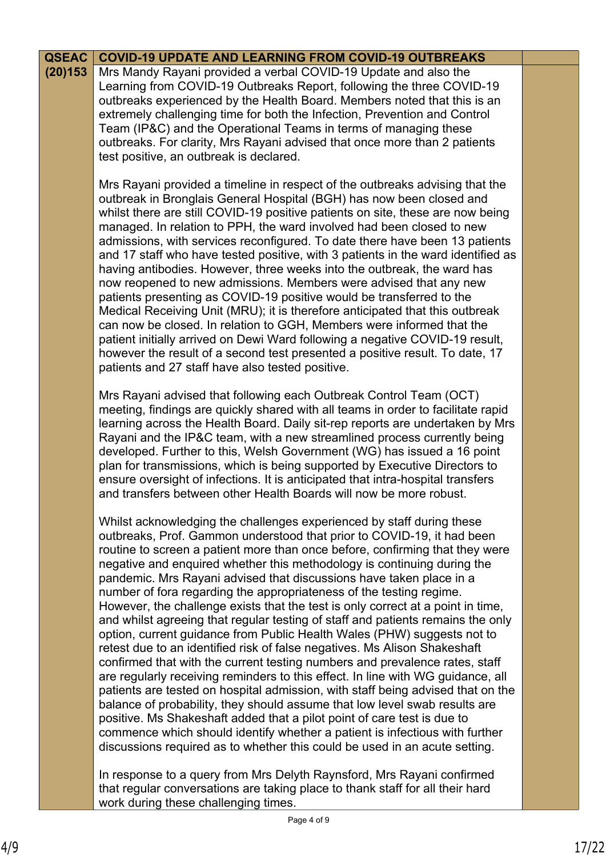| <b>QSEAC</b> | <b>COVID-19 UPDATE AND LEARNING FROM COVID-19 OUTBREAKS</b>                                                                                                                                                                                                                                                                                                                                                                                                                                                                                                                                                                                                                                                                                                                                                                                                                                                                                                                                                                                                                                                                                                                                                                                                                                                                                                       |  |
|--------------|-------------------------------------------------------------------------------------------------------------------------------------------------------------------------------------------------------------------------------------------------------------------------------------------------------------------------------------------------------------------------------------------------------------------------------------------------------------------------------------------------------------------------------------------------------------------------------------------------------------------------------------------------------------------------------------------------------------------------------------------------------------------------------------------------------------------------------------------------------------------------------------------------------------------------------------------------------------------------------------------------------------------------------------------------------------------------------------------------------------------------------------------------------------------------------------------------------------------------------------------------------------------------------------------------------------------------------------------------------------------|--|
| (20)153      | Mrs Mandy Rayani provided a verbal COVID-19 Update and also the<br>Learning from COVID-19 Outbreaks Report, following the three COVID-19<br>outbreaks experienced by the Health Board. Members noted that this is an<br>extremely challenging time for both the Infection, Prevention and Control<br>Team (IP&C) and the Operational Teams in terms of managing these<br>outbreaks. For clarity, Mrs Rayani advised that once more than 2 patients<br>test positive, an outbreak is declared.                                                                                                                                                                                                                                                                                                                                                                                                                                                                                                                                                                                                                                                                                                                                                                                                                                                                     |  |
|              | Mrs Rayani provided a timeline in respect of the outbreaks advising that the<br>outbreak in Bronglais General Hospital (BGH) has now been closed and<br>whilst there are still COVID-19 positive patients on site, these are now being<br>managed. In relation to PPH, the ward involved had been closed to new<br>admissions, with services reconfigured. To date there have been 13 patients<br>and 17 staff who have tested positive, with 3 patients in the ward identified as<br>having antibodies. However, three weeks into the outbreak, the ward has<br>now reopened to new admissions. Members were advised that any new<br>patients presenting as COVID-19 positive would be transferred to the<br>Medical Receiving Unit (MRU); it is therefore anticipated that this outbreak<br>can now be closed. In relation to GGH, Members were informed that the<br>patient initially arrived on Dewi Ward following a negative COVID-19 result,<br>however the result of a second test presented a positive result. To date, 17<br>patients and 27 staff have also tested positive.                                                                                                                                                                                                                                                                           |  |
|              | Mrs Rayani advised that following each Outbreak Control Team (OCT)<br>meeting, findings are quickly shared with all teams in order to facilitate rapid<br>learning across the Health Board. Daily sit-rep reports are undertaken by Mrs<br>Rayani and the IP&C team, with a new streamlined process currently being<br>developed. Further to this, Welsh Government (WG) has issued a 16 point<br>plan for transmissions, which is being supported by Executive Directors to<br>ensure oversight of infections. It is anticipated that intra-hospital transfers<br>and transfers between other Health Boards will now be more robust.                                                                                                                                                                                                                                                                                                                                                                                                                                                                                                                                                                                                                                                                                                                             |  |
|              | Whilst acknowledging the challenges experienced by staff during these<br>outbreaks, Prof. Gammon understood that prior to COVID-19, it had been<br>routine to screen a patient more than once before, confirming that they were<br>negative and enquired whether this methodology is continuing during the<br>pandemic. Mrs Rayani advised that discussions have taken place in a<br>number of fora regarding the appropriateness of the testing regime.<br>However, the challenge exists that the test is only correct at a point in time,<br>and whilst agreeing that regular testing of staff and patients remains the only<br>option, current guidance from Public Health Wales (PHW) suggests not to<br>retest due to an identified risk of false negatives. Ms Alison Shakeshaft<br>confirmed that with the current testing numbers and prevalence rates, staff<br>are regularly receiving reminders to this effect. In line with WG guidance, all<br>patients are tested on hospital admission, with staff being advised that on the<br>balance of probability, they should assume that low level swab results are<br>positive. Ms Shakeshaft added that a pilot point of care test is due to<br>commence which should identify whether a patient is infectious with further<br>discussions required as to whether this could be used in an acute setting. |  |
|              | In response to a query from Mrs Delyth Raynsford, Mrs Rayani confirmed                                                                                                                                                                                                                                                                                                                                                                                                                                                                                                                                                                                                                                                                                                                                                                                                                                                                                                                                                                                                                                                                                                                                                                                                                                                                                            |  |

that regular conversations are taking place to thank staff for all their hard work during these challenging times.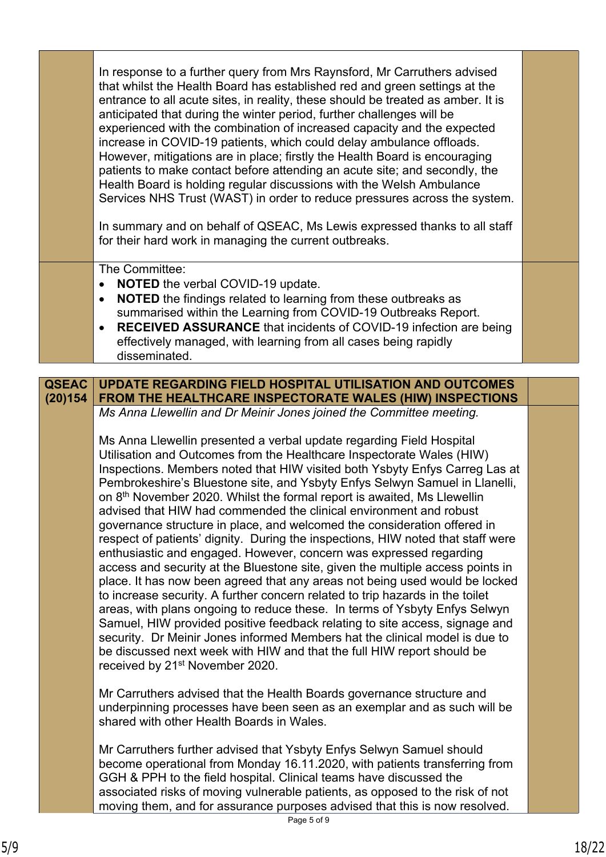|                         | In response to a further query from Mrs Raynsford, Mr Carruthers advised<br>that whilst the Health Board has established red and green settings at the<br>entrance to all acute sites, in reality, these should be treated as amber. It is<br>anticipated that during the winter period, further challenges will be<br>experienced with the combination of increased capacity and the expected<br>increase in COVID-19 patients, which could delay ambulance offloads.<br>However, mitigations are in place; firstly the Health Board is encouraging<br>patients to make contact before attending an acute site; and secondly, the<br>Health Board is holding regular discussions with the Welsh Ambulance<br>Services NHS Trust (WAST) in order to reduce pressures across the system.<br>In summary and on behalf of QSEAC, Ms Lewis expressed thanks to all staff<br>for their hard work in managing the current outbreaks.                                                                                                                                                                                                                                                                                                                                                                                                       |  |
|-------------------------|--------------------------------------------------------------------------------------------------------------------------------------------------------------------------------------------------------------------------------------------------------------------------------------------------------------------------------------------------------------------------------------------------------------------------------------------------------------------------------------------------------------------------------------------------------------------------------------------------------------------------------------------------------------------------------------------------------------------------------------------------------------------------------------------------------------------------------------------------------------------------------------------------------------------------------------------------------------------------------------------------------------------------------------------------------------------------------------------------------------------------------------------------------------------------------------------------------------------------------------------------------------------------------------------------------------------------------------|--|
|                         | The Committee:<br><b>NOTED</b> the verbal COVID-19 update.<br>NOTED the findings related to learning from these outbreaks as<br>summarised within the Learning from COVID-19 Outbreaks Report.<br>RECEIVED ASSURANCE that incidents of COVID-19 infection are being<br>effectively managed, with learning from all cases being rapidly<br>disseminated.                                                                                                                                                                                                                                                                                                                                                                                                                                                                                                                                                                                                                                                                                                                                                                                                                                                                                                                                                                              |  |
|                         |                                                                                                                                                                                                                                                                                                                                                                                                                                                                                                                                                                                                                                                                                                                                                                                                                                                                                                                                                                                                                                                                                                                                                                                                                                                                                                                                      |  |
| <b>QSEAC</b><br>(20)154 | <b>UPDATE REGARDING FIELD HOSPITAL UTILISATION AND OUTCOMES</b><br>FROM THE HEALTHCARE INSPECTORATE WALES (HIW) INSPECTIONS                                                                                                                                                                                                                                                                                                                                                                                                                                                                                                                                                                                                                                                                                                                                                                                                                                                                                                                                                                                                                                                                                                                                                                                                          |  |
|                         | Ms Anna Llewellin and Dr Meinir Jones joined the Committee meeting.                                                                                                                                                                                                                                                                                                                                                                                                                                                                                                                                                                                                                                                                                                                                                                                                                                                                                                                                                                                                                                                                                                                                                                                                                                                                  |  |
|                         | Ms Anna Llewellin presented a verbal update regarding Field Hospital<br>Utilisation and Outcomes from the Healthcare Inspectorate Wales (HIW)<br>Inspections. Members noted that HIW visited both Ysbyty Enfys Carreg Las at<br>Pembrokeshire's Bluestone site, and Ysbyty Enfys Selwyn Samuel in Llanelli,<br>on 8 <sup>th</sup> November 2020. Whilst the formal report is awaited, Ms Llewellin<br>advised that HIW had commended the clinical environment and robust<br>governance structure in place, and welcomed the consideration offered in<br>respect of patients' dignity. During the inspections, HIW noted that staff were<br>enthusiastic and engaged. However, concern was expressed regarding<br>access and security at the Bluestone site, given the multiple access points in<br>place. It has now been agreed that any areas not being used would be locked<br>to increase security. A further concern related to trip hazards in the toilet<br>areas, with plans ongoing to reduce these. In terms of Ysbyty Enfys Selwyn<br>Samuel, HIW provided positive feedback relating to site access, signage and<br>security. Dr Meinir Jones informed Members hat the clinical model is due to<br>be discussed next week with HIW and that the full HIW report should be<br>received by 21 <sup>st</sup> November 2020. |  |
|                         | Mr Carruthers advised that the Health Boards governance structure and<br>underpinning processes have been seen as an exemplar and as such will be<br>shared with other Health Boards in Wales.                                                                                                                                                                                                                                                                                                                                                                                                                                                                                                                                                                                                                                                                                                                                                                                                                                                                                                                                                                                                                                                                                                                                       |  |
|                         | Mr Carruthers further advised that Ysbyty Enfys Selwyn Samuel should<br>become operational from Monday 16.11.2020, with patients transferring from<br>GGH & PPH to the field hospital. Clinical teams have discussed the<br>associated risks of moving vulnerable patients, as opposed to the risk of not<br>moving them, and for assurance purposes advised that this is now resolved.                                                                                                                                                                                                                                                                                                                                                                                                                                                                                                                                                                                                                                                                                                                                                                                                                                                                                                                                              |  |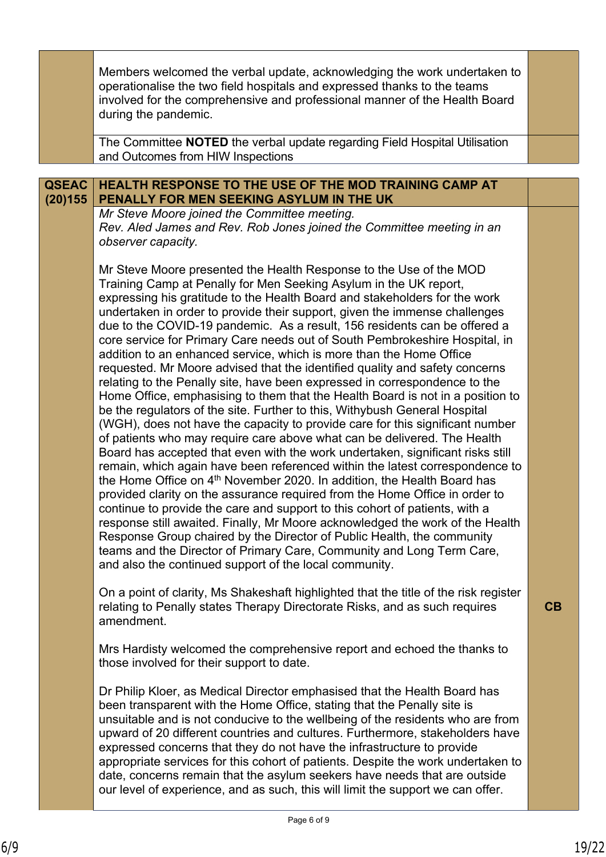|              | Members welcomed the verbal update, acknowledging the work undertaken to<br>operationalise the two field hospitals and expressed thanks to the teams<br>involved for the comprehensive and professional manner of the Health Board<br>during the pandemic.                                                                                                                                                                                                                                                                                                                                                                                                                                                                                                                                                                                                                                                                                                                                                                                                                                                                                                                                                                                                                                                                                                                                                                                                                                                                                                                                                                                                                                                                                            |    |
|--------------|-------------------------------------------------------------------------------------------------------------------------------------------------------------------------------------------------------------------------------------------------------------------------------------------------------------------------------------------------------------------------------------------------------------------------------------------------------------------------------------------------------------------------------------------------------------------------------------------------------------------------------------------------------------------------------------------------------------------------------------------------------------------------------------------------------------------------------------------------------------------------------------------------------------------------------------------------------------------------------------------------------------------------------------------------------------------------------------------------------------------------------------------------------------------------------------------------------------------------------------------------------------------------------------------------------------------------------------------------------------------------------------------------------------------------------------------------------------------------------------------------------------------------------------------------------------------------------------------------------------------------------------------------------------------------------------------------------------------------------------------------------|----|
|              | The Committee NOTED the verbal update regarding Field Hospital Utilisation<br>and Outcomes from HIW Inspections                                                                                                                                                                                                                                                                                                                                                                                                                                                                                                                                                                                                                                                                                                                                                                                                                                                                                                                                                                                                                                                                                                                                                                                                                                                                                                                                                                                                                                                                                                                                                                                                                                       |    |
|              |                                                                                                                                                                                                                                                                                                                                                                                                                                                                                                                                                                                                                                                                                                                                                                                                                                                                                                                                                                                                                                                                                                                                                                                                                                                                                                                                                                                                                                                                                                                                                                                                                                                                                                                                                       |    |
| <b>QSEAC</b> | <b>HEALTH RESPONSE TO THE USE OF THE MOD TRAINING CAMP AT</b>                                                                                                                                                                                                                                                                                                                                                                                                                                                                                                                                                                                                                                                                                                                                                                                                                                                                                                                                                                                                                                                                                                                                                                                                                                                                                                                                                                                                                                                                                                                                                                                                                                                                                         |    |
| (20)155      | PENALLY FOR MEN SEEKING ASYLUM IN THE UK                                                                                                                                                                                                                                                                                                                                                                                                                                                                                                                                                                                                                                                                                                                                                                                                                                                                                                                                                                                                                                                                                                                                                                                                                                                                                                                                                                                                                                                                                                                                                                                                                                                                                                              |    |
|              | Mr Steve Moore joined the Committee meeting.<br>Rev. Aled James and Rev. Rob Jones joined the Committee meeting in an<br>observer capacity.                                                                                                                                                                                                                                                                                                                                                                                                                                                                                                                                                                                                                                                                                                                                                                                                                                                                                                                                                                                                                                                                                                                                                                                                                                                                                                                                                                                                                                                                                                                                                                                                           |    |
|              | Mr Steve Moore presented the Health Response to the Use of the MOD<br>Training Camp at Penally for Men Seeking Asylum in the UK report,<br>expressing his gratitude to the Health Board and stakeholders for the work<br>undertaken in order to provide their support, given the immense challenges<br>due to the COVID-19 pandemic. As a result, 156 residents can be offered a<br>core service for Primary Care needs out of South Pembrokeshire Hospital, in<br>addition to an enhanced service, which is more than the Home Office<br>requested. Mr Moore advised that the identified quality and safety concerns<br>relating to the Penally site, have been expressed in correspondence to the<br>Home Office, emphasising to them that the Health Board is not in a position to<br>be the regulators of the site. Further to this, Withybush General Hospital<br>(WGH), does not have the capacity to provide care for this significant number<br>of patients who may require care above what can be delivered. The Health<br>Board has accepted that even with the work undertaken, significant risks still<br>remain, which again have been referenced within the latest correspondence to<br>the Home Office on 4 <sup>th</sup> November 2020. In addition, the Health Board has<br>provided clarity on the assurance required from the Home Office in order to<br>continue to provide the care and support to this cohort of patients, with a<br>response still awaited. Finally, Mr Moore acknowledged the work of the Health<br>Response Group chaired by the Director of Public Health, the community<br>teams and the Director of Primary Care, Community and Long Term Care,<br>and also the continued support of the local community. |    |
|              | On a point of clarity, Ms Shakeshaft highlighted that the title of the risk register<br>relating to Penally states Therapy Directorate Risks, and as such requires<br>amendment.                                                                                                                                                                                                                                                                                                                                                                                                                                                                                                                                                                                                                                                                                                                                                                                                                                                                                                                                                                                                                                                                                                                                                                                                                                                                                                                                                                                                                                                                                                                                                                      | CB |
|              | Mrs Hardisty welcomed the comprehensive report and echoed the thanks to<br>those involved for their support to date.                                                                                                                                                                                                                                                                                                                                                                                                                                                                                                                                                                                                                                                                                                                                                                                                                                                                                                                                                                                                                                                                                                                                                                                                                                                                                                                                                                                                                                                                                                                                                                                                                                  |    |
|              | Dr Philip Kloer, as Medical Director emphasised that the Health Board has<br>been transparent with the Home Office, stating that the Penally site is<br>unsuitable and is not conducive to the wellbeing of the residents who are from<br>upward of 20 different countries and cultures. Furthermore, stakeholders have<br>expressed concerns that they do not have the infrastructure to provide<br>appropriate services for this cohort of patients. Despite the work undertaken to<br>date, concerns remain that the asylum seekers have needs that are outside<br>our level of experience, and as such, this will limit the support we can offer.                                                                                                                                                                                                                                                                                                                                                                                                                                                                                                                                                                                                                                                                                                                                                                                                                                                                                                                                                                                                                                                                                                 |    |
|              |                                                                                                                                                                                                                                                                                                                                                                                                                                                                                                                                                                                                                                                                                                                                                                                                                                                                                                                                                                                                                                                                                                                                                                                                                                                                                                                                                                                                                                                                                                                                                                                                                                                                                                                                                       |    |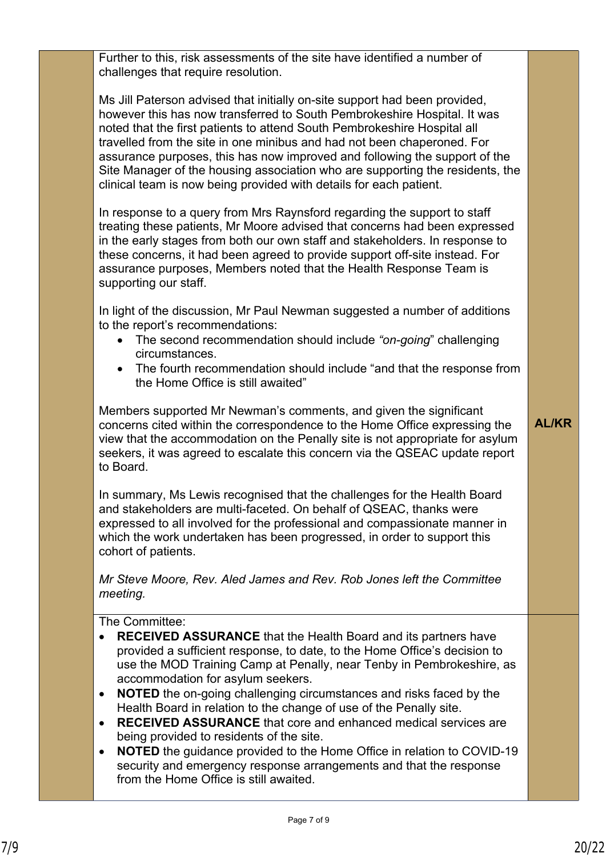Further to this, risk assessments of the site have identified a number of challenges that require resolution.

Ms Jill Paterson advised that initially on-site support had been provided, however this has now transferred to South Pembrokeshire Hospital. It was noted that the first patients to attend South Pembrokeshire Hospital all travelled from the site in one minibus and had not been chaperoned. For assurance purposes, this has now improved and following the support of the Site Manager of the housing association who are supporting the residents, the clinical team is now being provided with details for each patient.

In response to a query from Mrs Raynsford regarding the support to staff treating these patients, Mr Moore advised that concerns had been expressed in the early stages from both our own staff and stakeholders. In response to these concerns, it had been agreed to provide support off-site instead. For assurance purposes, Members noted that the Health Response Team is supporting our staff.

In light of the discussion, Mr Paul Newman suggested a number of additions to the report's recommendations:

- The second recommendation should include *"on-going*" challenging circumstances.
- The fourth recommendation should include "and that the response from the Home Office is still awaited"

Members supported Mr Newman's comments, and given the significant concerns cited within the correspondence to the Home Office expressing the view that the accommodation on the Penally site is not appropriate for asylum seekers, it was agreed to escalate this concern via the QSEAC update report to Board.

In summary, Ms Lewis recognised that the challenges for the Health Board and stakeholders are multi-faceted. On behalf of QSEAC, thanks were expressed to all involved for the professional and compassionate manner in which the work undertaken has been progressed, in order to support this cohort of patients.

*Mr Steve Moore, Rev. Aled James and Rev. Rob Jones left the Committee meeting.*

The Committee<sup>.</sup>

- **RECEIVED ASSURANCE** that the Health Board and its partners have provided a sufficient response, to date, to the Home Office's decision to use the MOD Training Camp at Penally, near Tenby in Pembrokeshire, as accommodation for asylum seekers.
- **NOTED** the on-going challenging circumstances and risks faced by the Health Board in relation to the change of use of the Penally site.
- **RECEIVED ASSURANCE** that core and enhanced medical services are being provided to residents of the site.
- **NOTED** the guidance provided to the Home Office in relation to COVID-19 security and emergency response arrangements and that the response from the Home Office is still awaited.

**AL/KR**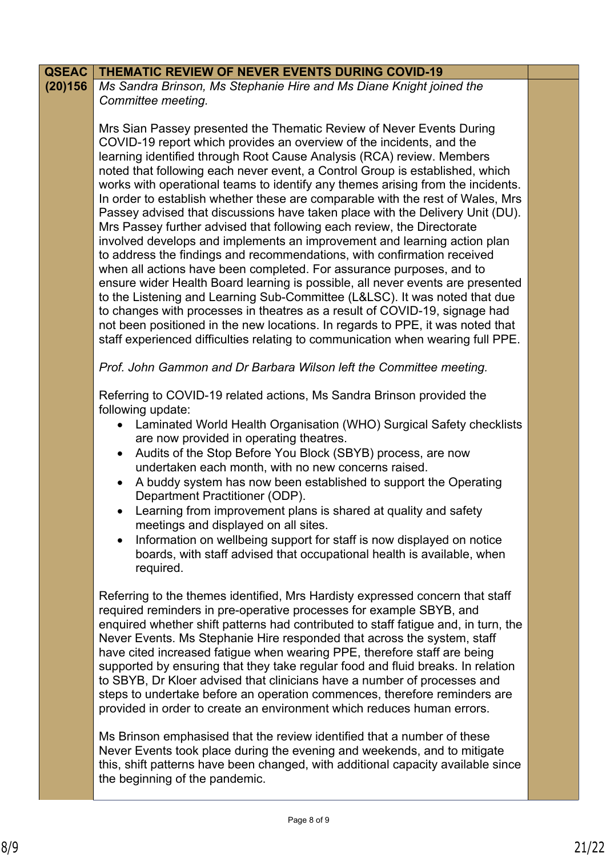| <b>QSEAC</b> | <b>THEMATIC REVIEW OF NEVER EVENTS DURING COVID-19</b>                                                                                                                                                                                                                                                                                                                                                                                                                                                                                                                                                                                                                                                                                                                                                                                                                                                                                                                                                                                                                                                                                                                                                                                                                                  |  |
|--------------|-----------------------------------------------------------------------------------------------------------------------------------------------------------------------------------------------------------------------------------------------------------------------------------------------------------------------------------------------------------------------------------------------------------------------------------------------------------------------------------------------------------------------------------------------------------------------------------------------------------------------------------------------------------------------------------------------------------------------------------------------------------------------------------------------------------------------------------------------------------------------------------------------------------------------------------------------------------------------------------------------------------------------------------------------------------------------------------------------------------------------------------------------------------------------------------------------------------------------------------------------------------------------------------------|--|
| (20)156      | Ms Sandra Brinson, Ms Stephanie Hire and Ms Diane Knight joined the<br>Committee meeting.                                                                                                                                                                                                                                                                                                                                                                                                                                                                                                                                                                                                                                                                                                                                                                                                                                                                                                                                                                                                                                                                                                                                                                                               |  |
|              | Mrs Sian Passey presented the Thematic Review of Never Events During<br>COVID-19 report which provides an overview of the incidents, and the<br>learning identified through Root Cause Analysis (RCA) review. Members<br>noted that following each never event, a Control Group is established, which<br>works with operational teams to identify any themes arising from the incidents.<br>In order to establish whether these are comparable with the rest of Wales, Mrs<br>Passey advised that discussions have taken place with the Delivery Unit (DU).<br>Mrs Passey further advised that following each review, the Directorate<br>involved develops and implements an improvement and learning action plan<br>to address the findings and recommendations, with confirmation received<br>when all actions have been completed. For assurance purposes, and to<br>ensure wider Health Board learning is possible, all never events are presented<br>to the Listening and Learning Sub-Committee (L&LSC). It was noted that due<br>to changes with processes in theatres as a result of COVID-19, signage had<br>not been positioned in the new locations. In regards to PPE, it was noted that<br>staff experienced difficulties relating to communication when wearing full PPE. |  |
|              | Prof. John Gammon and Dr Barbara Wilson left the Committee meeting.                                                                                                                                                                                                                                                                                                                                                                                                                                                                                                                                                                                                                                                                                                                                                                                                                                                                                                                                                                                                                                                                                                                                                                                                                     |  |
|              | Referring to COVID-19 related actions, Ms Sandra Brinson provided the<br>following update:<br>• Laminated World Health Organisation (WHO) Surgical Safety checklists<br>are now provided in operating theatres.<br>Audits of the Stop Before You Block (SBYB) process, are now<br>$\bullet$<br>undertaken each month, with no new concerns raised.<br>A buddy system has now been established to support the Operating<br>Department Practitioner (ODP).<br>• Learning from improvement plans is shared at quality and safety<br>meetings and displayed on all sites.<br>Information on wellbeing support for staff is now displayed on notice<br>boards, with staff advised that occupational health is available, when<br>required.                                                                                                                                                                                                                                                                                                                                                                                                                                                                                                                                                   |  |
|              | Referring to the themes identified, Mrs Hardisty expressed concern that staff<br>required reminders in pre-operative processes for example SBYB, and<br>enquired whether shift patterns had contributed to staff fatigue and, in turn, the<br>Never Events. Ms Stephanie Hire responded that across the system, staff<br>have cited increased fatigue when wearing PPE, therefore staff are being<br>supported by ensuring that they take regular food and fluid breaks. In relation<br>to SBYB, Dr Kloer advised that clinicians have a number of processes and<br>steps to undertake before an operation commences, therefore reminders are<br>provided in order to create an environment which reduces human errors.                                                                                                                                                                                                                                                                                                                                                                                                                                                                                                                                                                 |  |
|              | Ms Brinson emphasised that the review identified that a number of these<br>Never Events took place during the evening and weekends, and to mitigate<br>this, shift patterns have been changed, with additional capacity available since<br>the beginning of the pandemic.                                                                                                                                                                                                                                                                                                                                                                                                                                                                                                                                                                                                                                                                                                                                                                                                                                                                                                                                                                                                               |  |